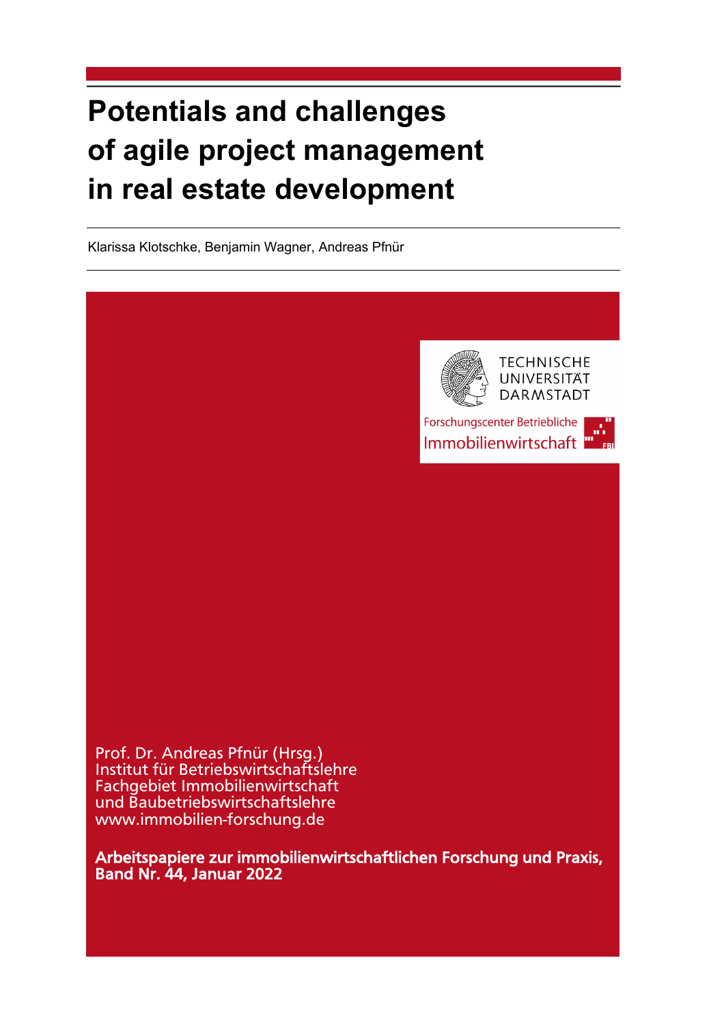# **Potentials and challenges of agile project management in real estate development**

Klarissa Klotschke, Benjamin Wagner, Andreas Pfnür



Forschungscenter Betriebliche Immobilienwirtschaft

Prof. Dr. Andreas Pfnür (Hrsg.) Institut für Betriebswirtschaftslehre Fachgebiet Immobilienwirtschaft und Baubetriebswirtschaftslehre www.immobilien-forschung.de

Arbeitspapiere zur immobilienwirtschaftlichen Forschung und Praxis, Band Nr. 44, Januar 2022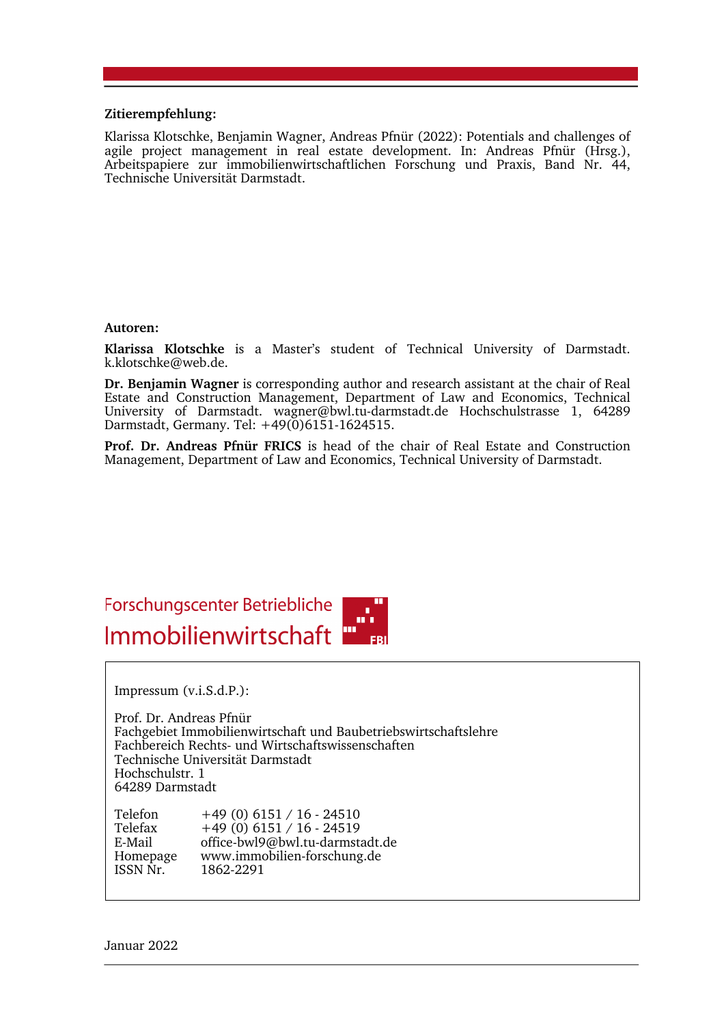#### **Zitierempfehlung:**

Klarissa Klotschke, Benjamin Wagner, Andreas Pfnür (2022): Potentials and challenges of agile project management in real estate development. In: Andreas Pfnür (Hrsg.), Arbeitspapiere zur immobilienwirtschaftlichen Forschung und Praxis, Band Nr. 44, Technische Universität Darmstadt.

#### **Autoren:**

**Klarissa Klotschke** is a Master's student of Technical University of Darmstadt. k.klotschke@web.de.

**Dr. Benjamin Wagner** is corresponding author and research assistant at the chair of Real Estate and Construction Management, Department of Law and Economics, Technical University of Darmstadt. wagner@bwl.tu-darmstadt.de Hochschulstrasse 1, 64289 Darmstadt, Germany. Tel: +49(0)6151-1624515.

**Prof. Dr. Andreas Pfnür FRICS** is head of the chair of Real Estate and Construction Management, Department of Law and Economics, Technical University of Darmstadt.



Impressum (v.i.S.d.P.):

Prof. Dr. Andreas Pfnür Fachgebiet Immobilienwirtschaft und Baubetriebswirtschaftslehre Fachbereich Rechts- und Wirtschaftswissenschaften Technische Universität Darmstadt Hochschulstr. 1 64289 Darmstadt

Telefon +49 (0) 6151 / 16 - 24510 Telefax +49 (0) 6151 / 16 - 24519 E-Mail office-bwl9@bwl.tu-darmstadt.de Homepage www.immobilien-forschung.de<br>ISSN Nr. 1862-2291 1862-2291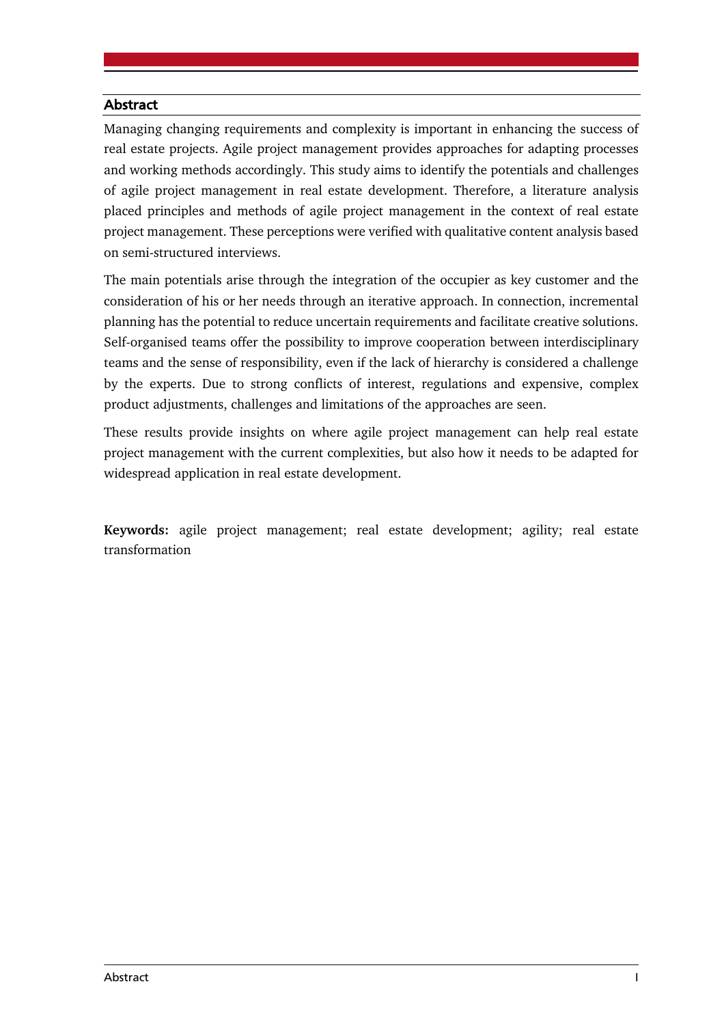#### **Abstract**

Managing changing requirements and complexity is important in enhancing the success of real estate projects. Agile project management provides approaches for adapting processes and working methods accordingly. This study aims to identify the potentials and challenges of agile project management in real estate development. Therefore, a literature analysis placed principles and methods of agile project management in the context of real estate project management. These perceptions were verified with qualitative content analysis based on semi-structured interviews.

The main potentials arise through the integration of the occupier as key customer and the consideration of his or her needs through an iterative approach. In connection, incremental planning has the potential to reduce uncertain requirements and facilitate creative solutions. Self-organised teams offer the possibility to improve cooperation between interdisciplinary teams and the sense of responsibility, even if the lack of hierarchy is considered a challenge by the experts. Due to strong conflicts of interest, regulations and expensive, complex product adjustments, challenges and limitations of the approaches are seen.

These results provide insights on where agile project management can help real estate project management with the current complexities, but also how it needs to be adapted for widespread application in real estate development.

**Keywords:** agile project management; real estate development; agility; real estate transformation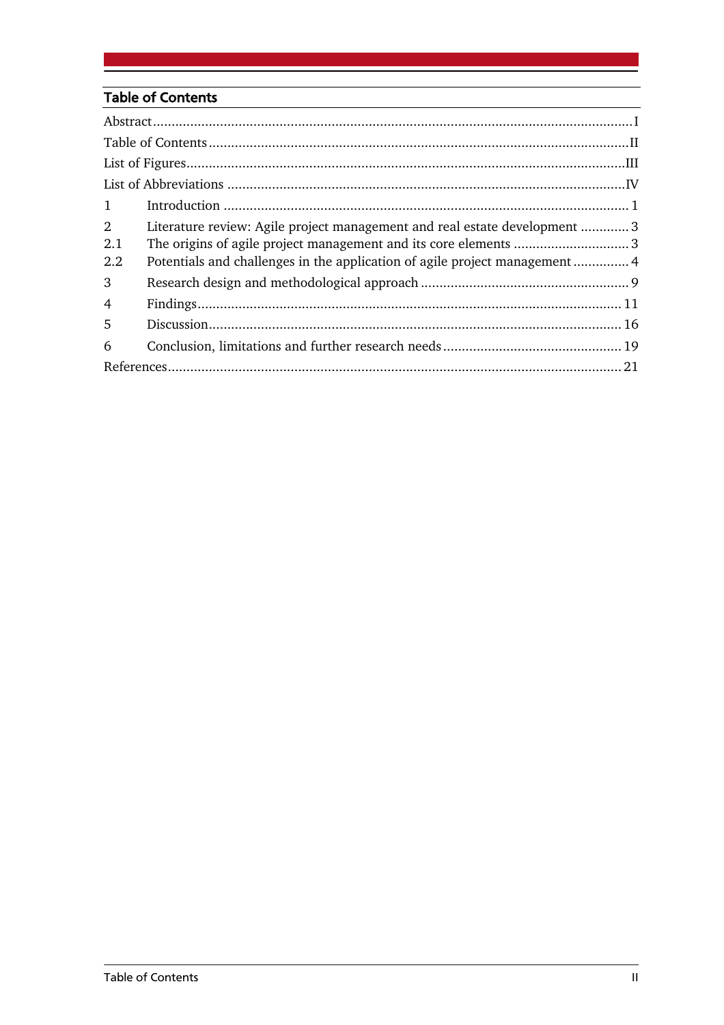# **Table of Contents**

| 1                            |                                                                                                                                                                                                                              |  |
|------------------------------|------------------------------------------------------------------------------------------------------------------------------------------------------------------------------------------------------------------------------|--|
| $\overline{2}$<br>2.1<br>2.2 | Literature review: Agile project management and real estate development  3<br>The origins of agile project management and its core elements 3<br>Potentials and challenges in the application of agile project management  4 |  |
| 3                            |                                                                                                                                                                                                                              |  |
| $\overline{4}$               |                                                                                                                                                                                                                              |  |
| 5                            |                                                                                                                                                                                                                              |  |
| 6                            |                                                                                                                                                                                                                              |  |
|                              |                                                                                                                                                                                                                              |  |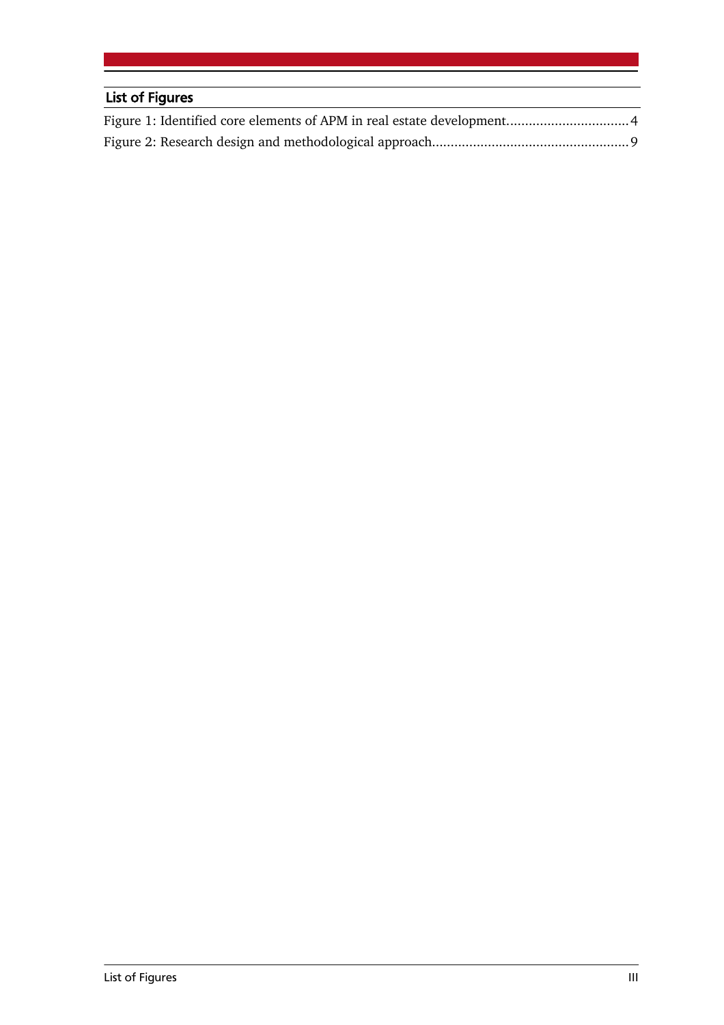# List of Figures Figure 1: Identified core elements of APM in real estate development.................................4 Figure 2: Research design and methodological approach.....................................................9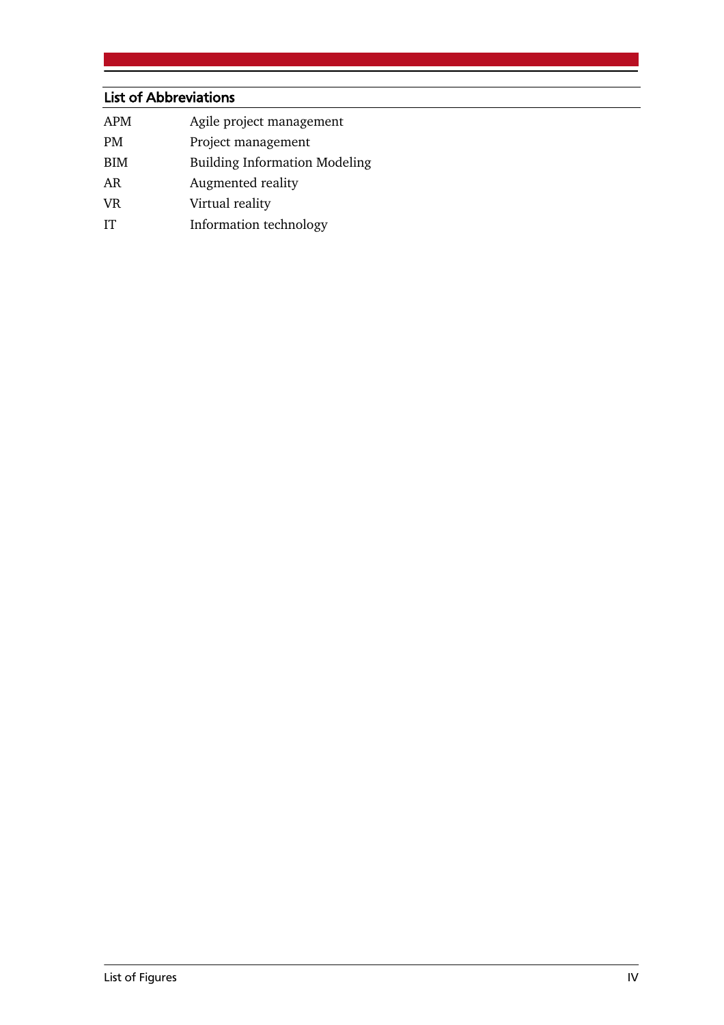# List of Abbreviations

| APM | Agile project management |
|-----|--------------------------|
|-----|--------------------------|

- PM Project management
- BIM Building Information Modeling
- AR Augmented reality
- VR Virtual reality
- IT Information technology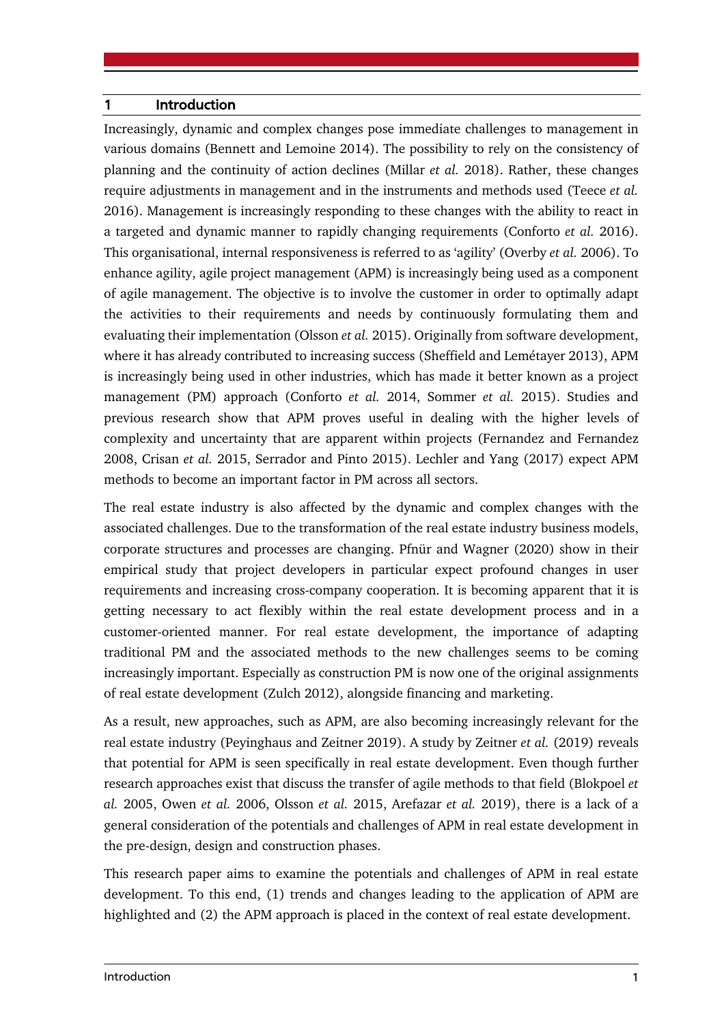#### 1 Introduction

Increasingly, dynamic and complex changes pose immediate challenges to management in various domains (Bennett and Lemoine 2014). The possibility to rely on the consistency of planning and the continuity of action declines (Millar *et al.* 2018). Rather, these changes require adjustments in management and in the instruments and methods used (Teece *et al.* 2016). Management is increasingly responding to these changes with the ability to react in a targeted and dynamic manner to rapidly changing requirements (Conforto *et al.* 2016). This organisational, internal responsiveness is referred to as 'agility' (Overby *et al.* 2006). To enhance agility, agile project management (APM) is increasingly being used as a component of agile management. The objective is to involve the customer in order to optimally adapt the activities to their requirements and needs by continuously formulating them and evaluating their implementation (Olsson *et al.* 2015). Originally from software development, where it has already contributed to increasing success (Sheffield and Lemétayer 2013), APM is increasingly being used in other industries, which has made it better known as a project management (PM) approach (Conforto *et al.* 2014, Sommer *et al.* 2015). Studies and previous research show that APM proves useful in dealing with the higher levels of complexity and uncertainty that are apparent within projects (Fernandez and Fernandez 2008, Crisan *et al.* 2015, Serrador and Pinto 2015). Lechler and Yang (2017) expect APM methods to become an important factor in PM across all sectors.

The real estate industry is also affected by the dynamic and complex changes with the associated challenges. Due to the transformation of the real estate industry business models, corporate structures and processes are changing. Pfnür and Wagner (2020) show in their empirical study that project developers in particular expect profound changes in user requirements and increasing cross-company cooperation. It is becoming apparent that it is getting necessary to act flexibly within the real estate development process and in a customer-oriented manner. For real estate development, the importance of adapting traditional PM and the associated methods to the new challenges seems to be coming increasingly important. Especially as construction PM is now one of the original assignments of real estate development (Zulch 2012), alongside financing and marketing.

As a result, new approaches, such as APM, are also becoming increasingly relevant for the real estate industry (Peyinghaus and Zeitner 2019). A study by Zeitner *et al.* (2019) reveals that potential for APM is seen specifically in real estate development. Even though further research approaches exist that discuss the transfer of agile methods to that field (Blokpoel *et al.* 2005, Owen *et al.* 2006, Olsson *et al.* 2015, Arefazar *et al.* 2019), there is a lack of a general consideration of the potentials and challenges of APM in real estate development in the pre-design, design and construction phases.

This research paper aims to examine the potentials and challenges of APM in real estate development. To this end, (1) trends and changes leading to the application of APM are highlighted and (2) the APM approach is placed in the context of real estate development.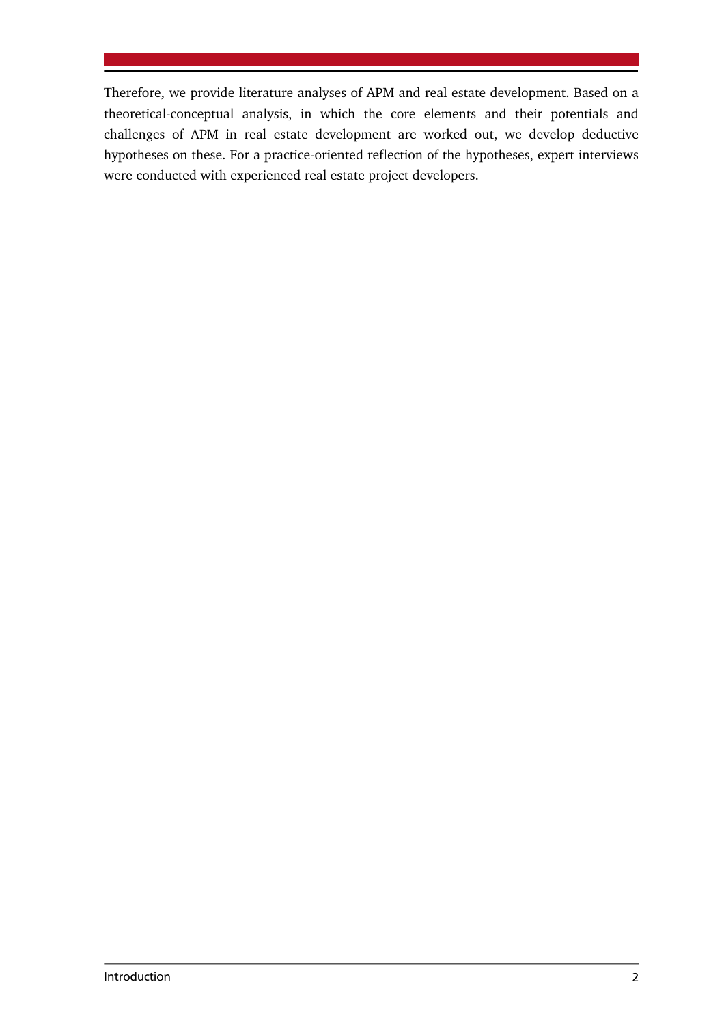Therefore, we provide literature analyses of APM and real estate development. Based on a theoretical-conceptual analysis, in which the core elements and their potentials and challenges of APM in real estate development are worked out, we develop deductive hypotheses on these. For a practice-oriented reflection of the hypotheses, expert interviews were conducted with experienced real estate project developers.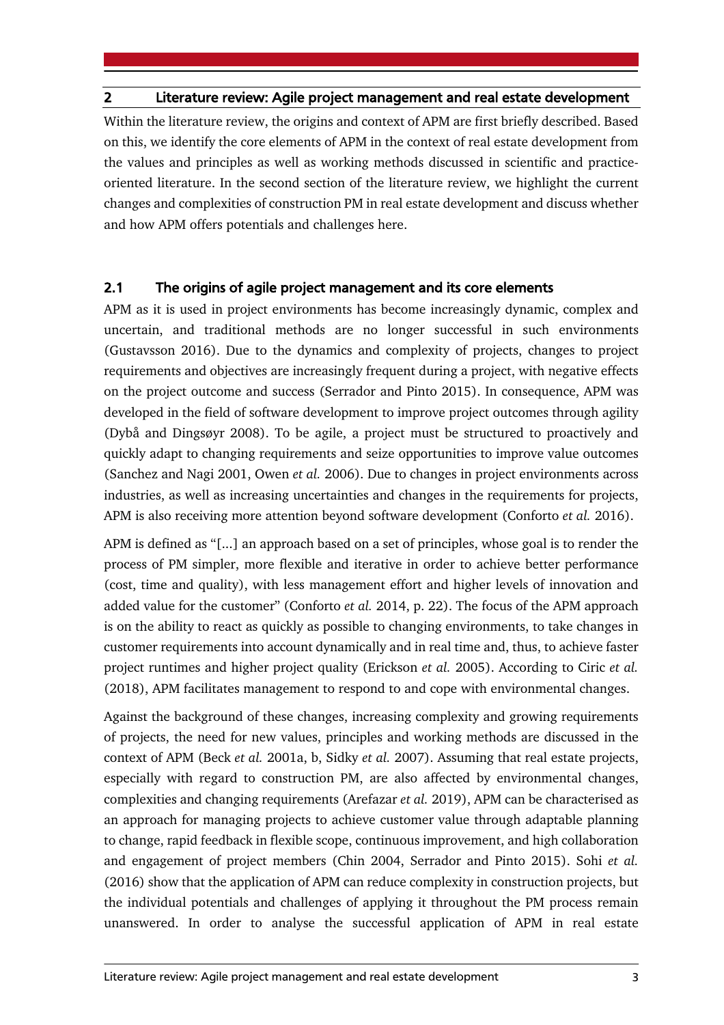#### 2 Literature review: Agile project management and real estate development

Within the literature review, the origins and context of APM are first briefly described. Based on this, we identify the core elements of APM in the context of real estate development from the values and principles as well as working methods discussed in scientific and practiceoriented literature. In the second section of the literature review, we highlight the current changes and complexities of construction PM in real estate development and discuss whether and how APM offers potentials and challenges here.

#### 2.1 The origins of agile project management and its core elements

APM as it is used in project environments has become increasingly dynamic, complex and uncertain, and traditional methods are no longer successful in such environments (Gustavsson 2016). Due to the dynamics and complexity of projects, changes to project requirements and objectives are increasingly frequent during a project, with negative effects on the project outcome and success (Serrador and Pinto 2015). In consequence, APM was developed in the field of software development to improve project outcomes through agility (Dybå and Dingsøyr 2008). To be agile, a project must be structured to proactively and quickly adapt to changing requirements and seize opportunities to improve value outcomes (Sanchez and Nagi 2001, Owen *et al.* 2006). Due to changes in project environments across industries, as well as increasing uncertainties and changes in the requirements for projects, APM is also receiving more attention beyond software development (Conforto *et al.* 2016).

APM is defined as "[...] an approach based on a set of principles, whose goal is to render the process of PM simpler, more flexible and iterative in order to achieve better performance (cost, time and quality), with less management effort and higher levels of innovation and added value for the customer" (Conforto *et al.* 2014, p. 22). The focus of the APM approach is on the ability to react as quickly as possible to changing environments, to take changes in customer requirements into account dynamically and in real time and, thus, to achieve faster project runtimes and higher project quality (Erickson *et al.* 2005). According to Ciric *et al.* (2018), APM facilitates management to respond to and cope with environmental changes.

Against the background of these changes, increasing complexity and growing requirements of projects, the need for new values, principles and working methods are discussed in the context of APM (Beck *et al.* 2001a, b, Sidky *et al.* 2007). Assuming that real estate projects, especially with regard to construction PM, are also affected by environmental changes, complexities and changing requirements (Arefazar *et al.* 2019), APM can be characterised as an approach for managing projects to achieve customer value through adaptable planning to change, rapid feedback in flexible scope, continuous improvement, and high collaboration and engagement of project members (Chin 2004, Serrador and Pinto 2015). Sohi *et al.* (2016) show that the application of APM can reduce complexity in construction projects, but the individual potentials and challenges of applying it throughout the PM process remain unanswered. In order to analyse the successful application of APM in real estate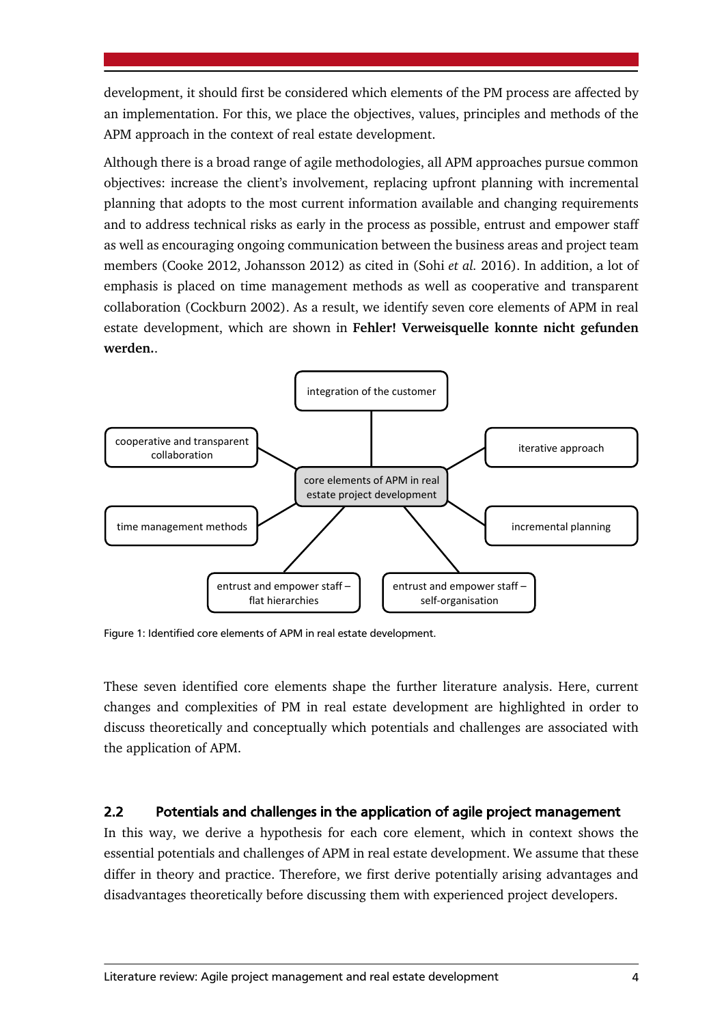development, it should first be considered which elements of the PM process are affected by an implementation. For this, we place the objectives, values, principles and methods of the APM approach in the context of real estate development.

Although there is a broad range of agile methodologies, all APM approaches pursue common objectives: increase the client's involvement, replacing upfront planning with incremental planning that adopts to the most current information available and changing requirements and to address technical risks as early in the process as possible, entrust and empower staff as well as encouraging ongoing communication between the business areas and project team members (Cooke 2012, Johansson 2012) as cited in (Sohi *et al.* 2016). In addition, a lot of emphasis is placed on time management methods as well as cooperative and transparent collaboration (Cockburn 2002). As a result, we identify seven core elements of APM in real estate development, which are shown in **Fehler! Verweisquelle konnte nicht gefunden werden.**.



Figure 1: Identified core elements of APM in real estate development.

These seven identified core elements shape the further literature analysis. Here, current changes and complexities of PM in real estate development are highlighted in order to discuss theoretically and conceptually which potentials and challenges are associated with the application of APM.

## 2.2 Potentials and challenges in the application of agile project management

In this way, we derive a hypothesis for each core element, which in context shows the essential potentials and challenges of APM in real estate development. We assume that these differ in theory and practice. Therefore, we first derive potentially arising advantages and disadvantages theoretically before discussing them with experienced project developers.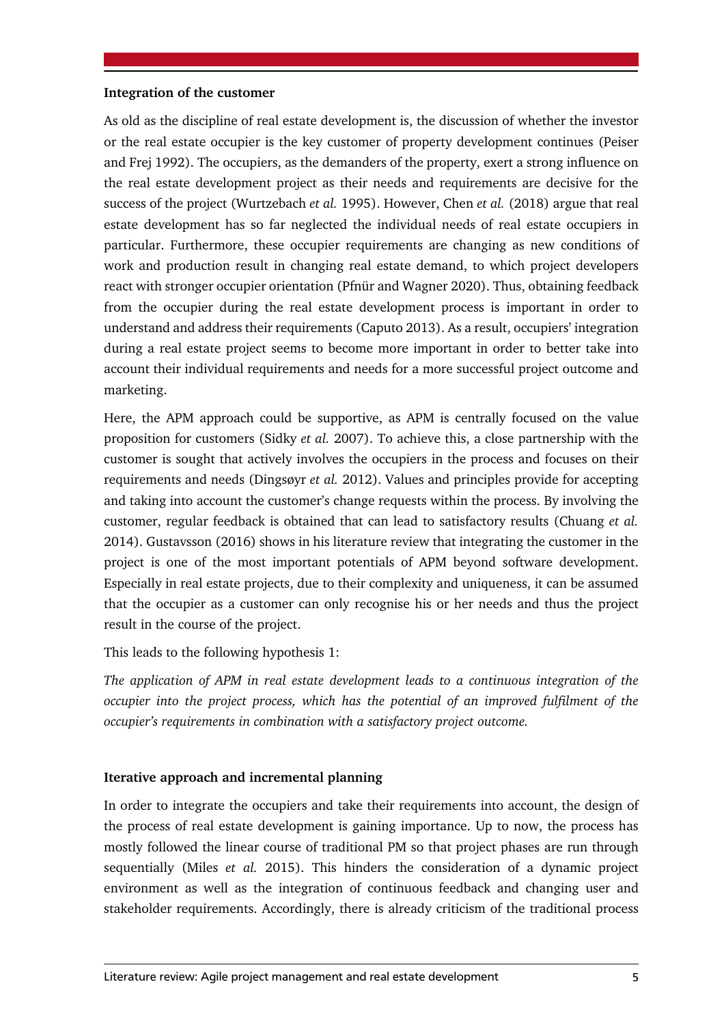#### **Integration of the customer**

As old as the discipline of real estate development is, the discussion of whether the investor or the real estate occupier is the key customer of property development continues (Peiser and Frej 1992). The occupiers, as the demanders of the property, exert a strong influence on the real estate development project as their needs and requirements are decisive for the success of the project (Wurtzebach *et al.* 1995). However, Chen *et al.* (2018) argue that real estate development has so far neglected the individual needs of real estate occupiers in particular. Furthermore, these occupier requirements are changing as new conditions of work and production result in changing real estate demand, to which project developers react with stronger occupier orientation (Pfnür and Wagner 2020). Thus, obtaining feedback from the occupier during the real estate development process is important in order to understand and address their requirements (Caputo 2013). As a result, occupiers' integration during a real estate project seems to become more important in order to better take into account their individual requirements and needs for a more successful project outcome and marketing.

Here, the APM approach could be supportive, as APM is centrally focused on the value proposition for customers (Sidky *et al.* 2007). To achieve this, a close partnership with the customer is sought that actively involves the occupiers in the process and focuses on their requirements and needs (Dingsøyr *et al.* 2012). Values and principles provide for accepting and taking into account the customer's change requests within the process. By involving the customer, regular feedback is obtained that can lead to satisfactory results (Chuang *et al.* 2014). Gustavsson (2016) shows in his literature review that integrating the customer in the project is one of the most important potentials of APM beyond software development. Especially in real estate projects, due to their complexity and uniqueness, it can be assumed that the occupier as a customer can only recognise his or her needs and thus the project result in the course of the project.

This leads to the following hypothesis 1:

*The application of APM in real estate development leads to a continuous integration of the occupier into the project process, which has the potential of an improved fulfilment of the occupier's requirements in combination with a satisfactory project outcome.*

#### **Iterative approach and incremental planning**

In order to integrate the occupiers and take their requirements into account, the design of the process of real estate development is gaining importance. Up to now, the process has mostly followed the linear course of traditional PM so that project phases are run through sequentially (Miles *et al.* 2015). This hinders the consideration of a dynamic project environment as well as the integration of continuous feedback and changing user and stakeholder requirements. Accordingly, there is already criticism of the traditional process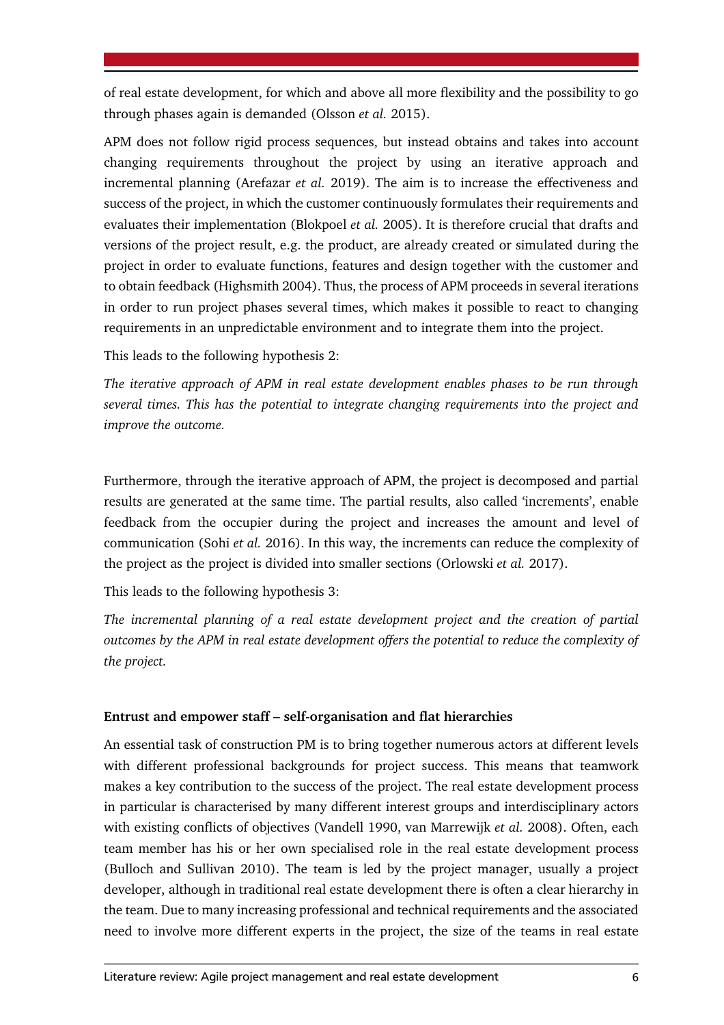of real estate development, for which and above all more flexibility and the possibility to go through phases again is demanded (Olsson *et al.* 2015).

APM does not follow rigid process sequences, but instead obtains and takes into account changing requirements throughout the project by using an iterative approach and incremental planning (Arefazar *et al.* 2019). The aim is to increase the effectiveness and success of the project, in which the customer continuously formulates their requirements and evaluates their implementation (Blokpoel *et al.* 2005). It is therefore crucial that drafts and versions of the project result, e.g. the product, are already created or simulated during the project in order to evaluate functions, features and design together with the customer and to obtain feedback (Highsmith 2004). Thus, the process of APM proceeds in several iterations in order to run project phases several times, which makes it possible to react to changing requirements in an unpredictable environment and to integrate them into the project.

This leads to the following hypothesis 2:

*The iterative approach of APM in real estate development enables phases to be run through several times. This has the potential to integrate changing requirements into the project and improve the outcome.*

Furthermore, through the iterative approach of APM, the project is decomposed and partial results are generated at the same time. The partial results, also called 'increments', enable feedback from the occupier during the project and increases the amount and level of communication (Sohi *et al.* 2016). In this way, the increments can reduce the complexity of the project as the project is divided into smaller sections (Orlowski *et al.* 2017).

This leads to the following hypothesis 3:

*The incremental planning of a real estate development project and the creation of partial outcomes by the APM in real estate development offers the potential to reduce the complexity of the project.*

#### **Entrust and empower staff – self-organisation and flat hierarchies**

An essential task of construction PM is to bring together numerous actors at different levels with different professional backgrounds for project success. This means that teamwork makes a key contribution to the success of the project. The real estate development process in particular is characterised by many different interest groups and interdisciplinary actors with existing conflicts of objectives (Vandell 1990, van Marrewijk *et al.* 2008). Often, each team member has his or her own specialised role in the real estate development process (Bulloch and Sullivan 2010). The team is led by the project manager, usually a project developer, although in traditional real estate development there is often a clear hierarchy in the team. Due to many increasing professional and technical requirements and the associated need to involve more different experts in the project, the size of the teams in real estate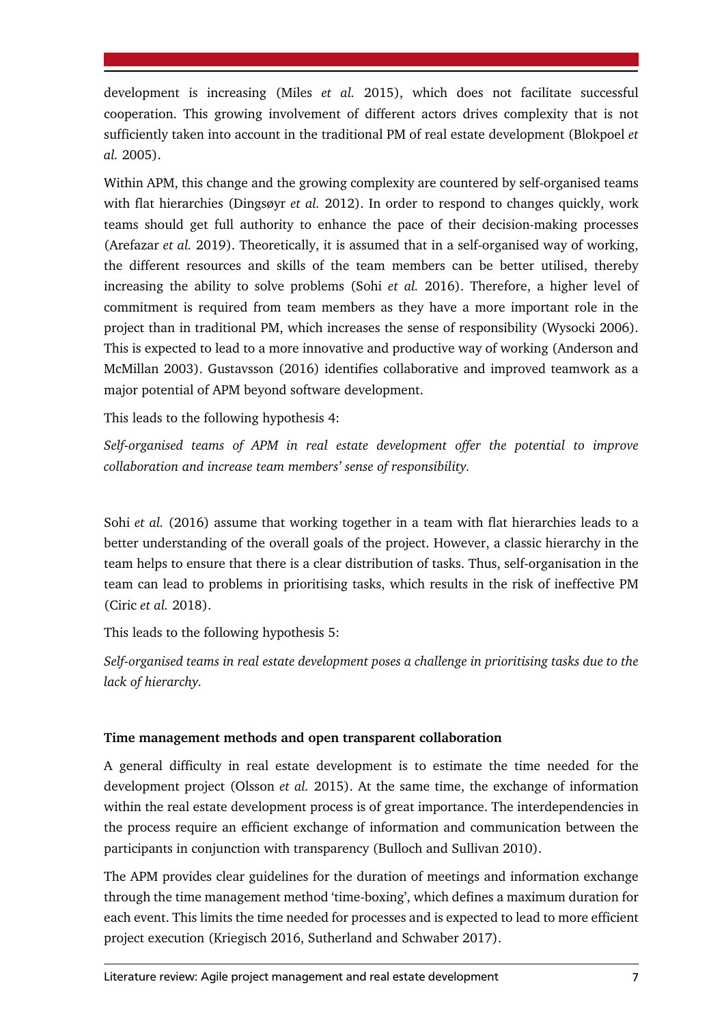development is increasing (Miles *et al.* 2015), which does not facilitate successful cooperation. This growing involvement of different actors drives complexity that is not sufficiently taken into account in the traditional PM of real estate development (Blokpoel *et al.* 2005).

Within APM, this change and the growing complexity are countered by self-organised teams with flat hierarchies (Dingsøyr *et al.* 2012). In order to respond to changes quickly, work teams should get full authority to enhance the pace of their decision-making processes (Arefazar *et al.* 2019). Theoretically, it is assumed that in a self-organised way of working, the different resources and skills of the team members can be better utilised, thereby increasing the ability to solve problems (Sohi *et al.* 2016). Therefore, a higher level of commitment is required from team members as they have a more important role in the project than in traditional PM, which increases the sense of responsibility (Wysocki 2006). This is expected to lead to a more innovative and productive way of working (Anderson and McMillan 2003). Gustavsson (2016) identifies collaborative and improved teamwork as a major potential of APM beyond software development.

This leads to the following hypothesis 4:

*Self-organised teams of APM in real estate development offer the potential to improve collaboration and increase team members' sense of responsibility.*

Sohi *et al.* (2016) assume that working together in a team with flat hierarchies leads to a better understanding of the overall goals of the project. However, a classic hierarchy in the team helps to ensure that there is a clear distribution of tasks. Thus, self-organisation in the team can lead to problems in prioritising tasks, which results in the risk of ineffective PM (Ciric *et al.* 2018).

This leads to the following hypothesis 5:

*Self-organised teams in real estate development poses a challenge in prioritising tasks due to the lack of hierarchy.*

#### **Time management methods and open transparent collaboration**

A general difficulty in real estate development is to estimate the time needed for the development project (Olsson *et al.* 2015). At the same time, the exchange of information within the real estate development process is of great importance. The interdependencies in the process require an efficient exchange of information and communication between the participants in conjunction with transparency (Bulloch and Sullivan 2010).

The APM provides clear guidelines for the duration of meetings and information exchange through the time management method 'time-boxing', which defines a maximum duration for each event. This limits the time needed for processes and is expected to lead to more efficient project execution (Kriegisch 2016, Sutherland and Schwaber 2017).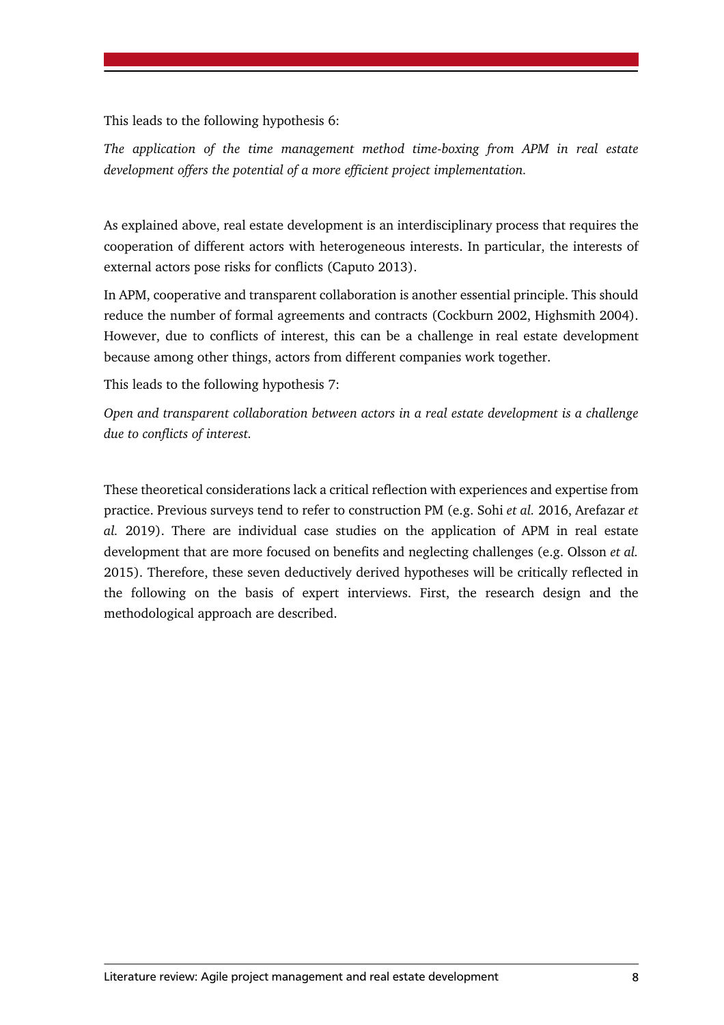This leads to the following hypothesis 6:

*The application of the time management method time-boxing from APM in real estate development offers the potential of a more efficient project implementation.*

As explained above, real estate development is an interdisciplinary process that requires the cooperation of different actors with heterogeneous interests. In particular, the interests of external actors pose risks for conflicts (Caputo 2013).

In APM, cooperative and transparent collaboration is another essential principle. This should reduce the number of formal agreements and contracts (Cockburn 2002, Highsmith 2004). However, due to conflicts of interest, this can be a challenge in real estate development because among other things, actors from different companies work together.

This leads to the following hypothesis 7:

*Open and transparent collaboration between actors in a real estate development is a challenge due to conflicts of interest.*

These theoretical considerations lack a critical reflection with experiences and expertise from practice. Previous surveys tend to refer to construction PM (e.g. Sohi *et al.* 2016, Arefazar *et al.* 2019). There are individual case studies on the application of APM in real estate development that are more focused on benefits and neglecting challenges (e.g. Olsson *et al.* 2015). Therefore, these seven deductively derived hypotheses will be critically reflected in the following on the basis of expert interviews. First, the research design and the methodological approach are described.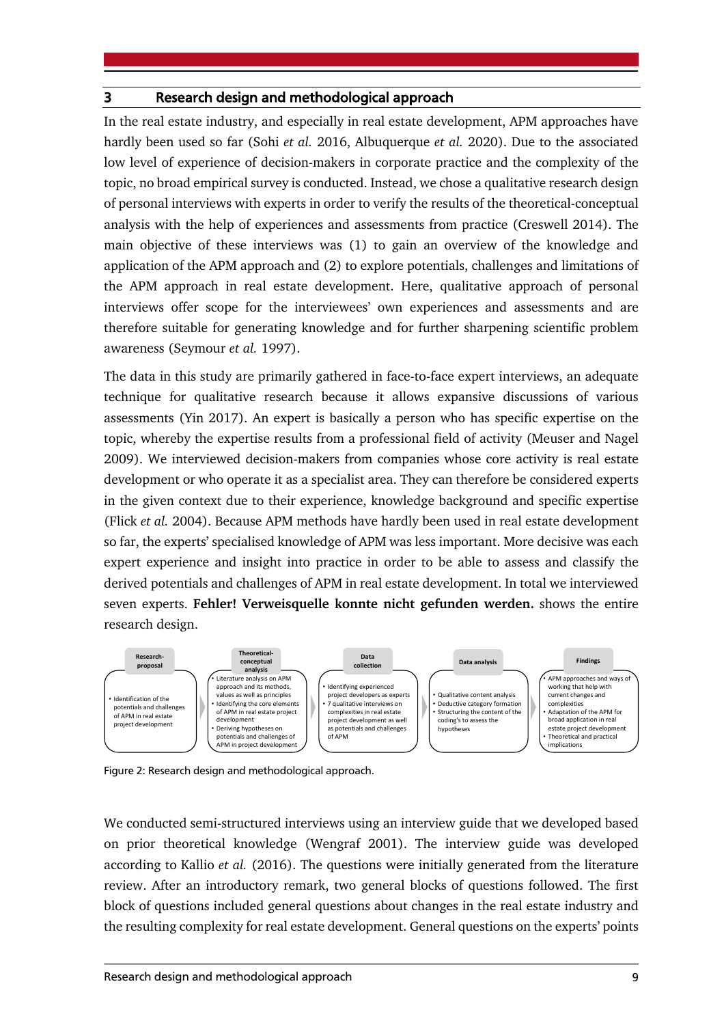#### 3 Research design and methodological approach

In the real estate industry, and especially in real estate development, APM approaches have hardly been used so far (Sohi *et al.* 2016, Albuquerque *et al.* 2020). Due to the associated low level of experience of decision-makers in corporate practice and the complexity of the topic, no broad empirical survey is conducted. Instead, we chose a qualitative research design of personal interviews with experts in order to verify the results of the theoretical-conceptual analysis with the help of experiences and assessments from practice (Creswell 2014). The main objective of these interviews was (1) to gain an overview of the knowledge and application of the APM approach and (2) to explore potentials, challenges and limitations of the APM approach in real estate development. Here, qualitative approach of personal interviews offer scope for the interviewees' own experiences and assessments and are therefore suitable for generating knowledge and for further sharpening scientific problem awareness (Seymour *et al.* 1997).

The data in this study are primarily gathered in face-to-face expert interviews, an adequate technique for qualitative research because it allows expansive discussions of various assessments (Yin 2017). An expert is basically a person who has specific expertise on the topic, whereby the expertise results from a professional field of activity (Meuser and Nagel 2009). We interviewed decision-makers from companies whose core activity is real estate development or who operate it as a specialist area. They can therefore be considered experts in the given context due to their experience, knowledge background and specific expertise (Flick *et al.* 2004). Because APM methods have hardly been used in real estate development so far, the experts' specialised knowledge of APM was less important. More decisive was each expert experience and insight into practice in order to be able to assess and classify the derived potentials and challenges of APM in real estate development. In total we interviewed seven experts. **Fehler! Verweisquelle konnte nicht gefunden werden.** shows the entire research design.



Figure 2: Research design and methodological approach.

We conducted semi-structured interviews using an interview guide that we developed based on prior theoretical knowledge (Wengraf 2001). The interview guide was developed according to Kallio *et al.* (2016). The questions were initially generated from the literature review. After an introductory remark, two general blocks of questions followed. The first block of questions included general questions about changes in the real estate industry and the resulting complexity for real estate development. General questions on the experts' points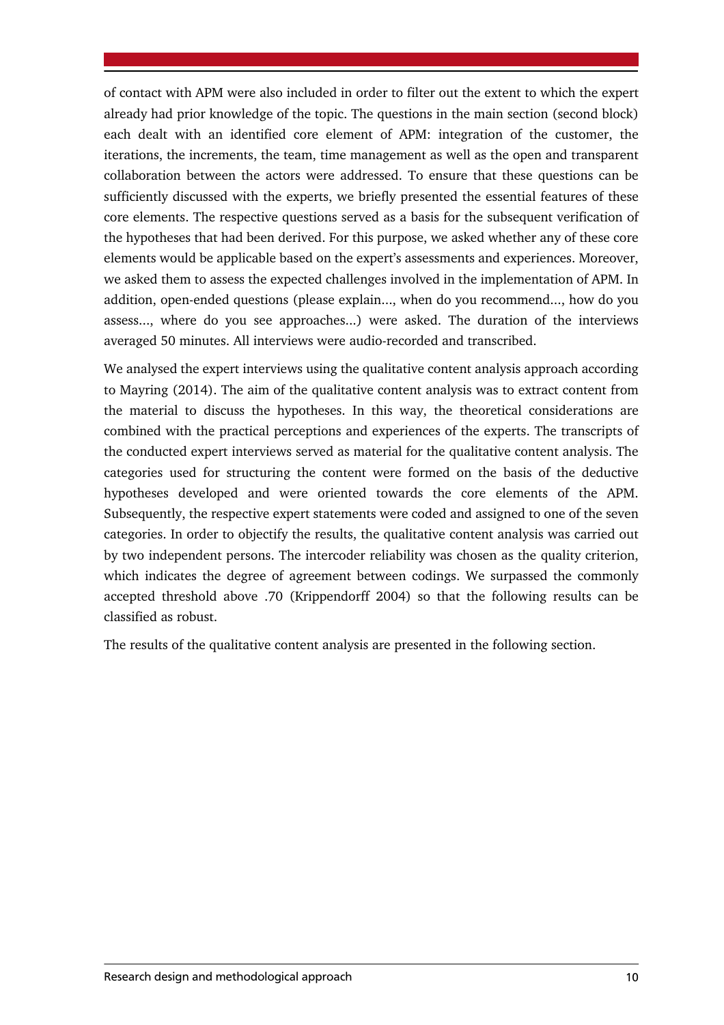of contact with APM were also included in order to filter out the extent to which the expert already had prior knowledge of the topic. The questions in the main section (second block) each dealt with an identified core element of APM: integration of the customer, the iterations, the increments, the team, time management as well as the open and transparent collaboration between the actors were addressed. To ensure that these questions can be sufficiently discussed with the experts, we briefly presented the essential features of these core elements. The respective questions served as a basis for the subsequent verification of the hypotheses that had been derived. For this purpose, we asked whether any of these core elements would be applicable based on the expert's assessments and experiences. Moreover, we asked them to assess the expected challenges involved in the implementation of APM. In addition, open-ended questions (please explain..., when do you recommend..., how do you assess..., where do you see approaches...) were asked. The duration of the interviews averaged 50 minutes. All interviews were audio-recorded and transcribed.

We analysed the expert interviews using the qualitative content analysis approach according to Mayring (2014). The aim of the qualitative content analysis was to extract content from the material to discuss the hypotheses. In this way, the theoretical considerations are combined with the practical perceptions and experiences of the experts. The transcripts of the conducted expert interviews served as material for the qualitative content analysis. The categories used for structuring the content were formed on the basis of the deductive hypotheses developed and were oriented towards the core elements of the APM. Subsequently, the respective expert statements were coded and assigned to one of the seven categories. In order to objectify the results, the qualitative content analysis was carried out by two independent persons. The intercoder reliability was chosen as the quality criterion, which indicates the degree of agreement between codings. We surpassed the commonly accepted threshold above .70 (Krippendorff 2004) so that the following results can be classified as robust.

The results of the qualitative content analysis are presented in the following section.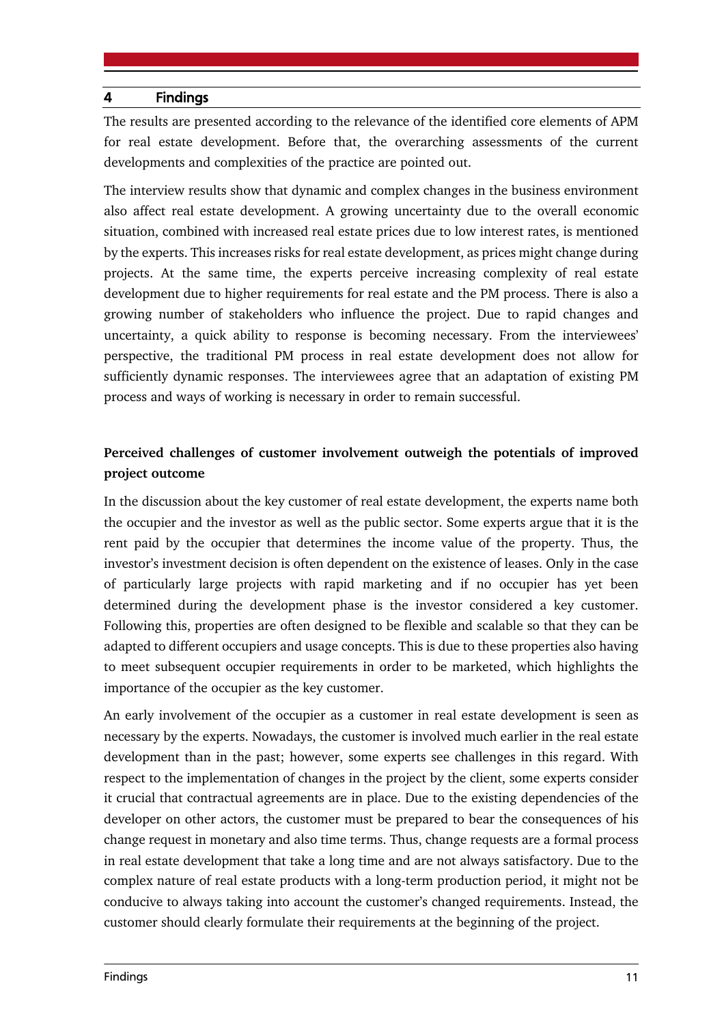#### 4 Findings

The results are presented according to the relevance of the identified core elements of APM for real estate development. Before that, the overarching assessments of the current developments and complexities of the practice are pointed out.

The interview results show that dynamic and complex changes in the business environment also affect real estate development. A growing uncertainty due to the overall economic situation, combined with increased real estate prices due to low interest rates, is mentioned by the experts. This increases risks for real estate development, as prices might change during projects. At the same time, the experts perceive increasing complexity of real estate development due to higher requirements for real estate and the PM process. There is also a growing number of stakeholders who influence the project. Due to rapid changes and uncertainty, a quick ability to response is becoming necessary. From the interviewees' perspective, the traditional PM process in real estate development does not allow for sufficiently dynamic responses. The interviewees agree that an adaptation of existing PM process and ways of working is necessary in order to remain successful.

## **Perceived challenges of customer involvement outweigh the potentials of improved project outcome**

In the discussion about the key customer of real estate development, the experts name both the occupier and the investor as well as the public sector. Some experts argue that it is the rent paid by the occupier that determines the income value of the property. Thus, the investor's investment decision is often dependent on the existence of leases. Only in the case of particularly large projects with rapid marketing and if no occupier has yet been determined during the development phase is the investor considered a key customer. Following this, properties are often designed to be flexible and scalable so that they can be adapted to different occupiers and usage concepts. This is due to these properties also having to meet subsequent occupier requirements in order to be marketed, which highlights the importance of the occupier as the key customer.

An early involvement of the occupier as a customer in real estate development is seen as necessary by the experts. Nowadays, the customer is involved much earlier in the real estate development than in the past; however, some experts see challenges in this regard. With respect to the implementation of changes in the project by the client, some experts consider it crucial that contractual agreements are in place. Due to the existing dependencies of the developer on other actors, the customer must be prepared to bear the consequences of his change request in monetary and also time terms. Thus, change requests are a formal process in real estate development that take a long time and are not always satisfactory. Due to the complex nature of real estate products with a long-term production period, it might not be conducive to always taking into account the customer's changed requirements. Instead, the customer should clearly formulate their requirements at the beginning of the project.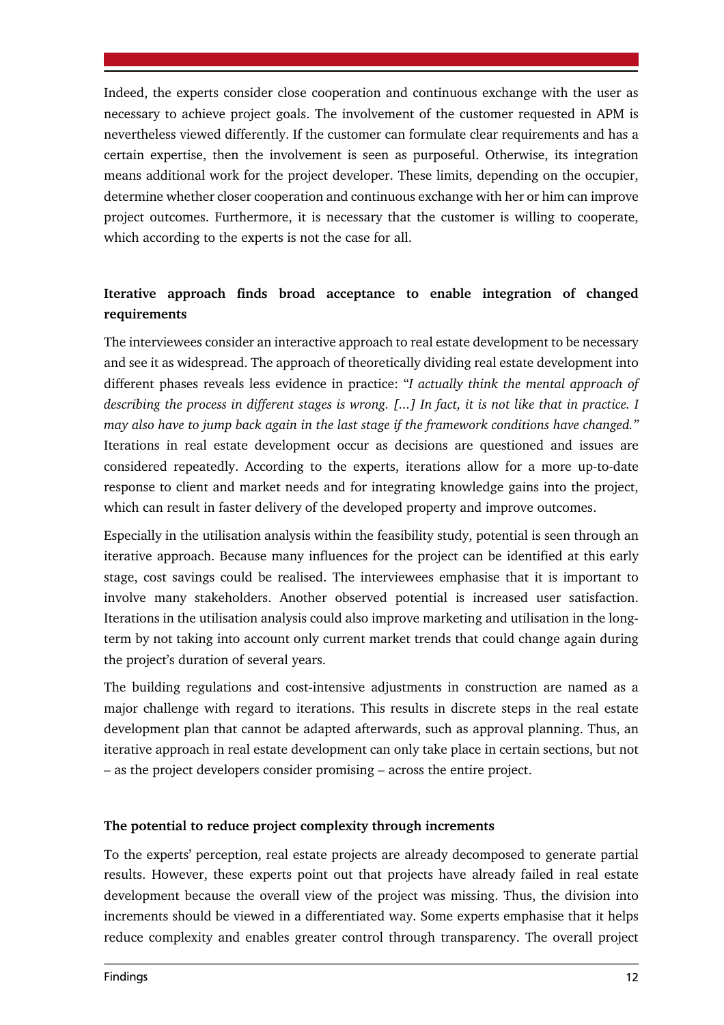Indeed, the experts consider close cooperation and continuous exchange with the user as necessary to achieve project goals. The involvement of the customer requested in APM is nevertheless viewed differently. If the customer can formulate clear requirements and has a certain expertise, then the involvement is seen as purposeful. Otherwise, its integration means additional work for the project developer. These limits, depending on the occupier, determine whether closer cooperation and continuous exchange with her or him can improve project outcomes. Furthermore, it is necessary that the customer is willing to cooperate, which according to the experts is not the case for all.

## **Iterative approach finds broad acceptance to enable integration of changed requirements**

The interviewees consider an interactive approach to real estate development to be necessary and see it as widespread. The approach of theoretically dividing real estate development into different phases reveals less evidence in practice: "*I actually think the mental approach of describing the process in different stages is wrong. [...] In fact, it is not like that in practice. I may also have to jump back again in the last stage if the framework conditions have changed."* Iterations in real estate development occur as decisions are questioned and issues are considered repeatedly. According to the experts, iterations allow for a more up-to-date response to client and market needs and for integrating knowledge gains into the project, which can result in faster delivery of the developed property and improve outcomes.

Especially in the utilisation analysis within the feasibility study, potential is seen through an iterative approach. Because many influences for the project can be identified at this early stage, cost savings could be realised. The interviewees emphasise that it is important to involve many stakeholders. Another observed potential is increased user satisfaction. Iterations in the utilisation analysis could also improve marketing and utilisation in the longterm by not taking into account only current market trends that could change again during the project's duration of several years.

The building regulations and cost-intensive adjustments in construction are named as a major challenge with regard to iterations. This results in discrete steps in the real estate development plan that cannot be adapted afterwards, such as approval planning. Thus, an iterative approach in real estate development can only take place in certain sections, but not – as the project developers consider promising – across the entire project.

#### **The potential to reduce project complexity through increments**

To the experts' perception, real estate projects are already decomposed to generate partial results. However, these experts point out that projects have already failed in real estate development because the overall view of the project was missing. Thus, the division into increments should be viewed in a differentiated way. Some experts emphasise that it helps reduce complexity and enables greater control through transparency. The overall project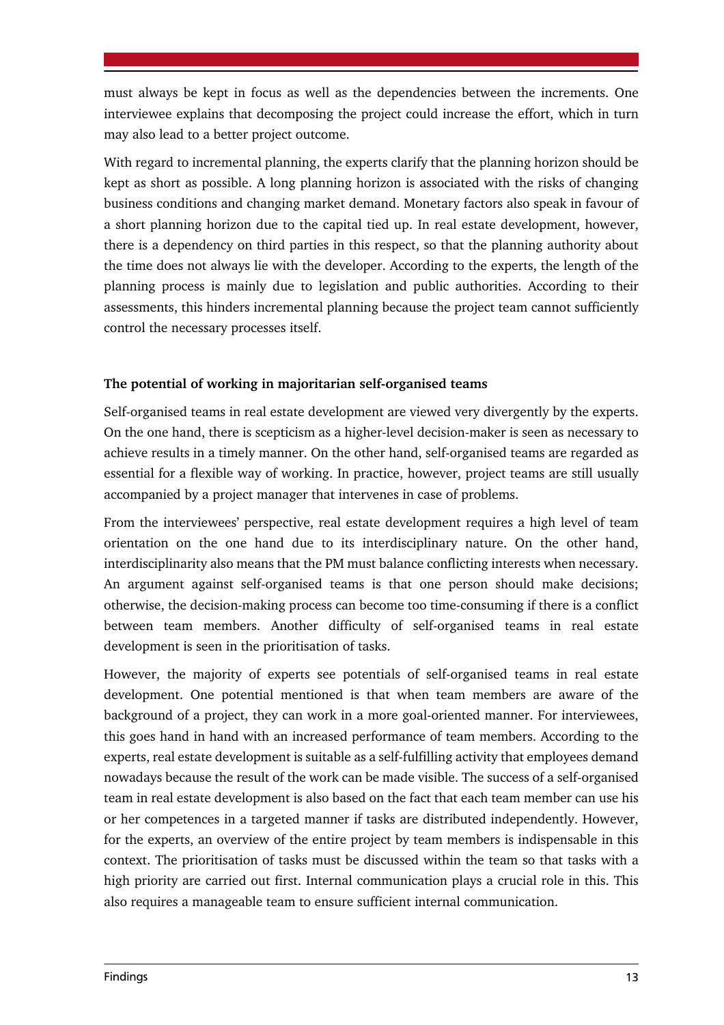must always be kept in focus as well as the dependencies between the increments. One interviewee explains that decomposing the project could increase the effort, which in turn may also lead to a better project outcome.

With regard to incremental planning, the experts clarify that the planning horizon should be kept as short as possible. A long planning horizon is associated with the risks of changing business conditions and changing market demand. Monetary factors also speak in favour of a short planning horizon due to the capital tied up. In real estate development, however, there is a dependency on third parties in this respect, so that the planning authority about the time does not always lie with the developer. According to the experts, the length of the planning process is mainly due to legislation and public authorities. According to their assessments, this hinders incremental planning because the project team cannot sufficiently control the necessary processes itself.

## **The potential of working in majoritarian self-organised teams**

Self-organised teams in real estate development are viewed very divergently by the experts. On the one hand, there is scepticism as a higher-level decision-maker is seen as necessary to achieve results in a timely manner. On the other hand, self-organised teams are regarded as essential for a flexible way of working. In practice, however, project teams are still usually accompanied by a project manager that intervenes in case of problems.

From the interviewees' perspective, real estate development requires a high level of team orientation on the one hand due to its interdisciplinary nature. On the other hand, interdisciplinarity also means that the PM must balance conflicting interests when necessary. An argument against self-organised teams is that one person should make decisions; otherwise, the decision-making process can become too time-consuming if there is a conflict between team members. Another difficulty of self-organised teams in real estate development is seen in the prioritisation of tasks.

However, the majority of experts see potentials of self-organised teams in real estate development. One potential mentioned is that when team members are aware of the background of a project, they can work in a more goal-oriented manner. For interviewees, this goes hand in hand with an increased performance of team members. According to the experts, real estate development is suitable as a self-fulfilling activity that employees demand nowadays because the result of the work can be made visible. The success of a self-organised team in real estate development is also based on the fact that each team member can use his or her competences in a targeted manner if tasks are distributed independently. However, for the experts, an overview of the entire project by team members is indispensable in this context. The prioritisation of tasks must be discussed within the team so that tasks with a high priority are carried out first. Internal communication plays a crucial role in this. This also requires a manageable team to ensure sufficient internal communication.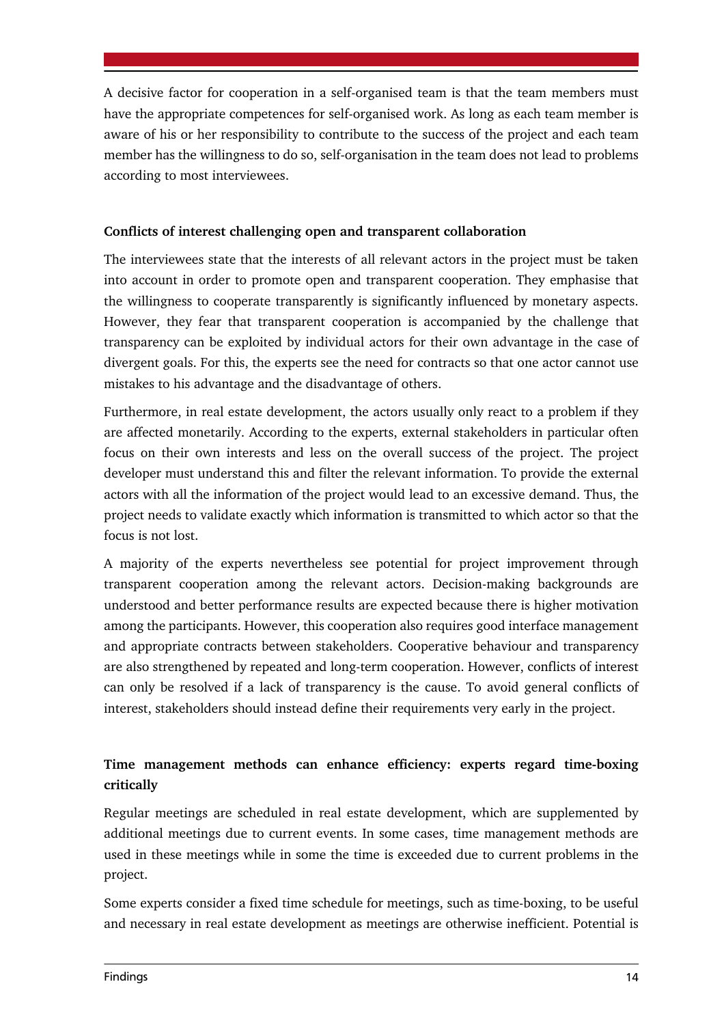A decisive factor for cooperation in a self-organised team is that the team members must have the appropriate competences for self-organised work. As long as each team member is aware of his or her responsibility to contribute to the success of the project and each team member has the willingness to do so, self-organisation in the team does not lead to problems according to most interviewees.

## **Conflicts of interest challenging open and transparent collaboration**

The interviewees state that the interests of all relevant actors in the project must be taken into account in order to promote open and transparent cooperation. They emphasise that the willingness to cooperate transparently is significantly influenced by monetary aspects. However, they fear that transparent cooperation is accompanied by the challenge that transparency can be exploited by individual actors for their own advantage in the case of divergent goals. For this, the experts see the need for contracts so that one actor cannot use mistakes to his advantage and the disadvantage of others.

Furthermore, in real estate development, the actors usually only react to a problem if they are affected monetarily. According to the experts, external stakeholders in particular often focus on their own interests and less on the overall success of the project. The project developer must understand this and filter the relevant information. To provide the external actors with all the information of the project would lead to an excessive demand. Thus, the project needs to validate exactly which information is transmitted to which actor so that the focus is not lost.

A majority of the experts nevertheless see potential for project improvement through transparent cooperation among the relevant actors. Decision-making backgrounds are understood and better performance results are expected because there is higher motivation among the participants. However, this cooperation also requires good interface management and appropriate contracts between stakeholders. Cooperative behaviour and transparency are also strengthened by repeated and long-term cooperation. However, conflicts of interest can only be resolved if a lack of transparency is the cause. To avoid general conflicts of interest, stakeholders should instead define their requirements very early in the project.

# **Time management methods can enhance efficiency: experts regard time-boxing critically**

Regular meetings are scheduled in real estate development, which are supplemented by additional meetings due to current events. In some cases, time management methods are used in these meetings while in some the time is exceeded due to current problems in the project.

Some experts consider a fixed time schedule for meetings, such as time-boxing, to be useful and necessary in real estate development as meetings are otherwise inefficient. Potential is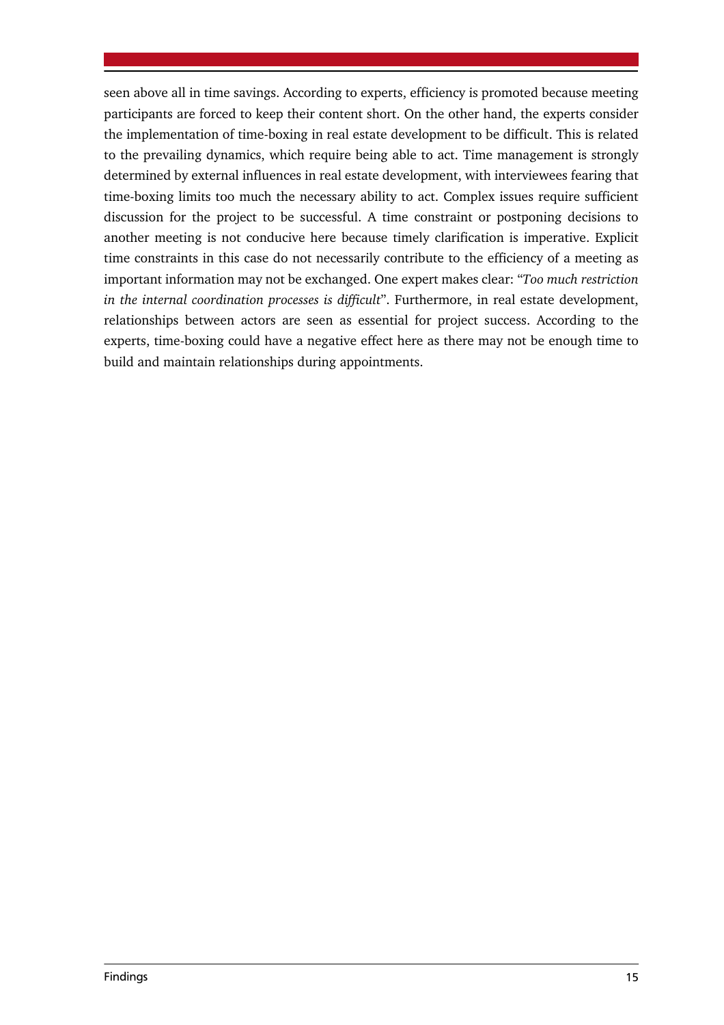seen above all in time savings. According to experts, efficiency is promoted because meeting participants are forced to keep their content short. On the other hand, the experts consider the implementation of time-boxing in real estate development to be difficult. This is related to the prevailing dynamics, which require being able to act. Time management is strongly determined by external influences in real estate development, with interviewees fearing that time-boxing limits too much the necessary ability to act. Complex issues require sufficient discussion for the project to be successful. A time constraint or postponing decisions to another meeting is not conducive here because timely clarification is imperative. Explicit time constraints in this case do not necessarily contribute to the efficiency of a meeting as important information may not be exchanged. One expert makes clear: "*Too much restriction in the internal coordination processes is difficult*". Furthermore, in real estate development, relationships between actors are seen as essential for project success. According to the experts, time-boxing could have a negative effect here as there may not be enough time to build and maintain relationships during appointments.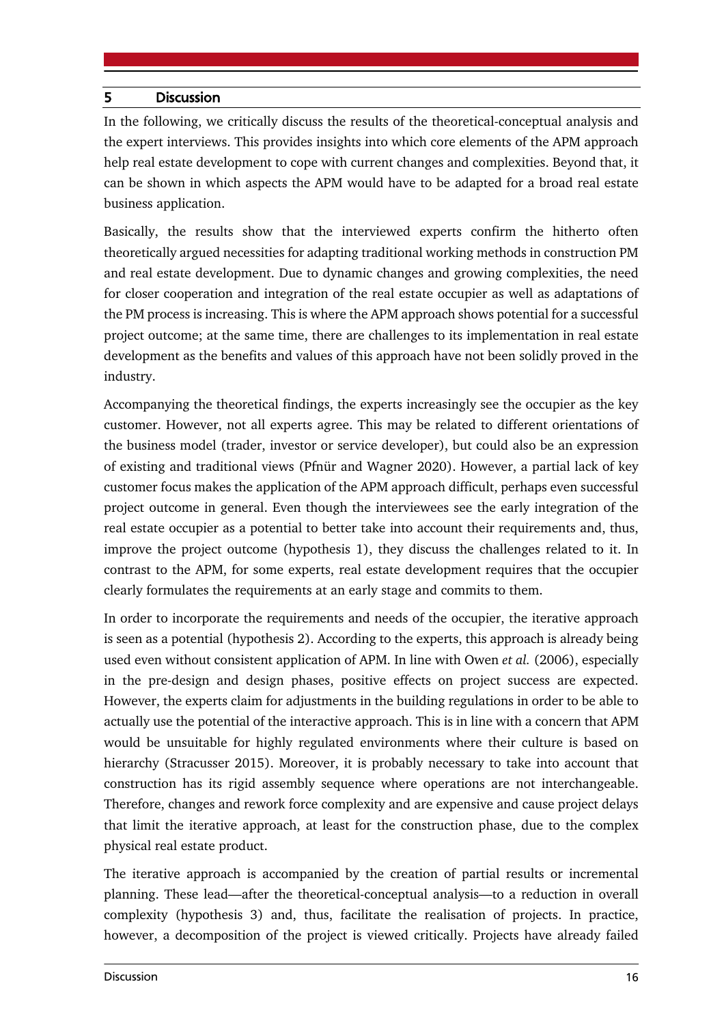## 5 Discussion

In the following, we critically discuss the results of the theoretical-conceptual analysis and the expert interviews. This provides insights into which core elements of the APM approach help real estate development to cope with current changes and complexities. Beyond that, it can be shown in which aspects the APM would have to be adapted for a broad real estate business application.

Basically, the results show that the interviewed experts confirm the hitherto often theoretically argued necessities for adapting traditional working methods in construction PM and real estate development. Due to dynamic changes and growing complexities, the need for closer cooperation and integration of the real estate occupier as well as adaptations of the PM process is increasing. This is where the APM approach shows potential for a successful project outcome; at the same time, there are challenges to its implementation in real estate development as the benefits and values of this approach have not been solidly proved in the industry.

Accompanying the theoretical findings, the experts increasingly see the occupier as the key customer. However, not all experts agree. This may be related to different orientations of the business model (trader, investor or service developer), but could also be an expression of existing and traditional views (Pfnür and Wagner 2020). However, a partial lack of key customer focus makes the application of the APM approach difficult, perhaps even successful project outcome in general. Even though the interviewees see the early integration of the real estate occupier as a potential to better take into account their requirements and, thus, improve the project outcome (hypothesis 1), they discuss the challenges related to it. In contrast to the APM, for some experts, real estate development requires that the occupier clearly formulates the requirements at an early stage and commits to them.

In order to incorporate the requirements and needs of the occupier, the iterative approach is seen as a potential (hypothesis 2). According to the experts, this approach is already being used even without consistent application of APM. In line with Owen *et al.* (2006), especially in the pre-design and design phases, positive effects on project success are expected. However, the experts claim for adjustments in the building regulations in order to be able to actually use the potential of the interactive approach. This is in line with a concern that APM would be unsuitable for highly regulated environments where their culture is based on hierarchy (Stracusser 2015). Moreover, it is probably necessary to take into account that construction has its rigid assembly sequence where operations are not interchangeable. Therefore, changes and rework force complexity and are expensive and cause project delays that limit the iterative approach, at least for the construction phase, due to the complex physical real estate product.

The iterative approach is accompanied by the creation of partial results or incremental planning. These lead—after the theoretical-conceptual analysis—to a reduction in overall complexity (hypothesis 3) and, thus, facilitate the realisation of projects. In practice, however, a decomposition of the project is viewed critically. Projects have already failed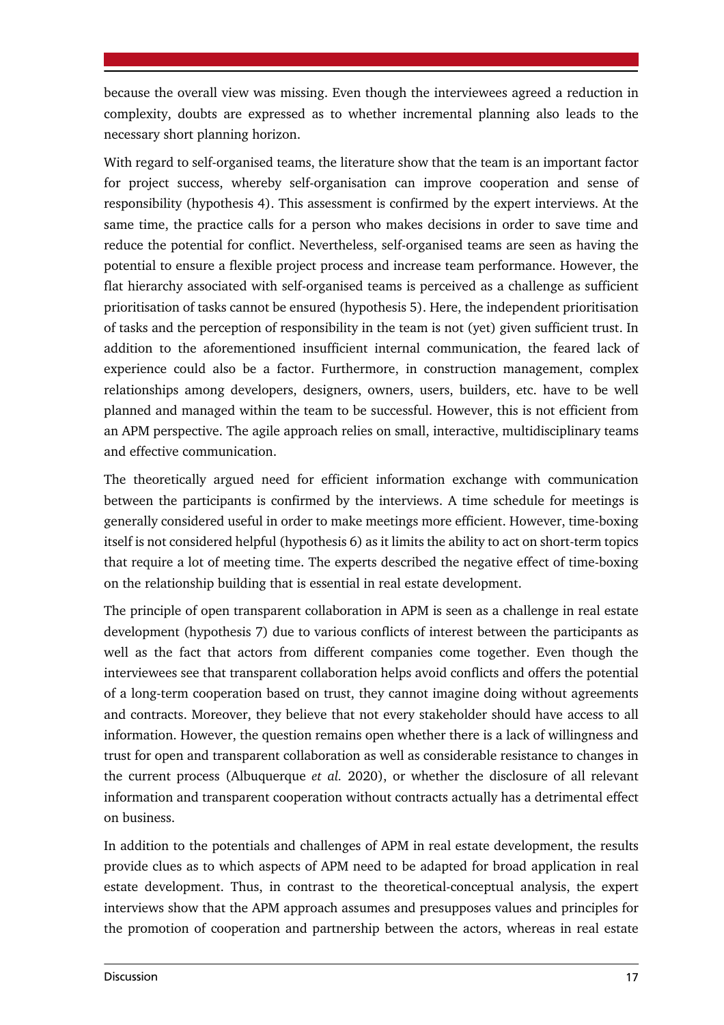because the overall view was missing. Even though the interviewees agreed a reduction in complexity, doubts are expressed as to whether incremental planning also leads to the necessary short planning horizon.

With regard to self-organised teams, the literature show that the team is an important factor for project success, whereby self-organisation can improve cooperation and sense of responsibility (hypothesis 4). This assessment is confirmed by the expert interviews. At the same time, the practice calls for a person who makes decisions in order to save time and reduce the potential for conflict. Nevertheless, self-organised teams are seen as having the potential to ensure a flexible project process and increase team performance. However, the flat hierarchy associated with self-organised teams is perceived as a challenge as sufficient prioritisation of tasks cannot be ensured (hypothesis 5). Here, the independent prioritisation of tasks and the perception of responsibility in the team is not (yet) given sufficient trust. In addition to the aforementioned insufficient internal communication, the feared lack of experience could also be a factor. Furthermore, in construction management, complex relationships among developers, designers, owners, users, builders, etc. have to be well planned and managed within the team to be successful. However, this is not efficient from an APM perspective. The agile approach relies on small, interactive, multidisciplinary teams and effective communication.

The theoretically argued need for efficient information exchange with communication between the participants is confirmed by the interviews. A time schedule for meetings is generally considered useful in order to make meetings more efficient. However, time-boxing itself is not considered helpful (hypothesis 6) as it limits the ability to act on short-term topics that require a lot of meeting time. The experts described the negative effect of time-boxing on the relationship building that is essential in real estate development.

The principle of open transparent collaboration in APM is seen as a challenge in real estate development (hypothesis 7) due to various conflicts of interest between the participants as well as the fact that actors from different companies come together. Even though the interviewees see that transparent collaboration helps avoid conflicts and offers the potential of a long-term cooperation based on trust, they cannot imagine doing without agreements and contracts. Moreover, they believe that not every stakeholder should have access to all information. However, the question remains open whether there is a lack of willingness and trust for open and transparent collaboration as well as considerable resistance to changes in the current process (Albuquerque *et al.* 2020), or whether the disclosure of all relevant information and transparent cooperation without contracts actually has a detrimental effect on business.

In addition to the potentials and challenges of APM in real estate development, the results provide clues as to which aspects of APM need to be adapted for broad application in real estate development. Thus, in contrast to the theoretical-conceptual analysis, the expert interviews show that the APM approach assumes and presupposes values and principles for the promotion of cooperation and partnership between the actors, whereas in real estate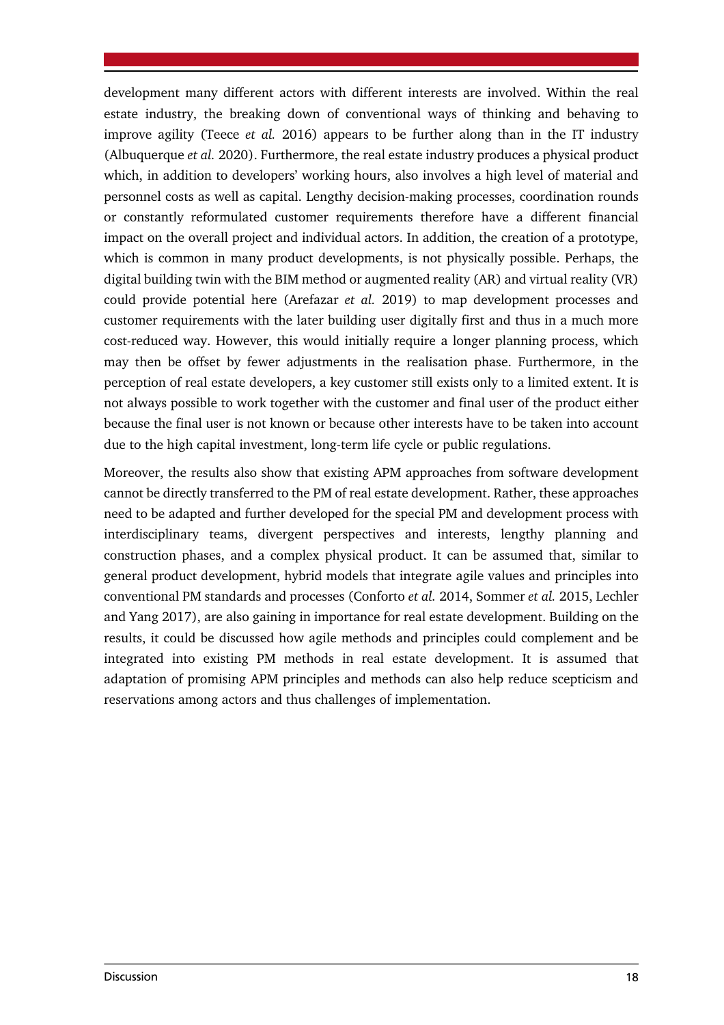development many different actors with different interests are involved. Within the real estate industry, the breaking down of conventional ways of thinking and behaving to improve agility (Teece *et al.* 2016) appears to be further along than in the IT industry (Albuquerque *et al.* 2020). Furthermore, the real estate industry produces a physical product which, in addition to developers' working hours, also involves a high level of material and personnel costs as well as capital. Lengthy decision-making processes, coordination rounds or constantly reformulated customer requirements therefore have a different financial impact on the overall project and individual actors. In addition, the creation of a prototype, which is common in many product developments, is not physically possible. Perhaps, the digital building twin with the BIM method or augmented reality (AR) and virtual reality (VR) could provide potential here (Arefazar *et al.* 2019) to map development processes and customer requirements with the later building user digitally first and thus in a much more cost-reduced way. However, this would initially require a longer planning process, which may then be offset by fewer adjustments in the realisation phase. Furthermore, in the perception of real estate developers, a key customer still exists only to a limited extent. It is not always possible to work together with the customer and final user of the product either because the final user is not known or because other interests have to be taken into account due to the high capital investment, long-term life cycle or public regulations.

Moreover, the results also show that existing APM approaches from software development cannot be directly transferred to the PM of real estate development. Rather, these approaches need to be adapted and further developed for the special PM and development process with interdisciplinary teams, divergent perspectives and interests, lengthy planning and construction phases, and a complex physical product. It can be assumed that, similar to general product development, hybrid models that integrate agile values and principles into conventional PM standards and processes (Conforto *et al.* 2014, Sommer *et al.* 2015, Lechler and Yang 2017), are also gaining in importance for real estate development. Building on the results, it could be discussed how agile methods and principles could complement and be integrated into existing PM methods in real estate development. It is assumed that adaptation of promising APM principles and methods can also help reduce scepticism and reservations among actors and thus challenges of implementation.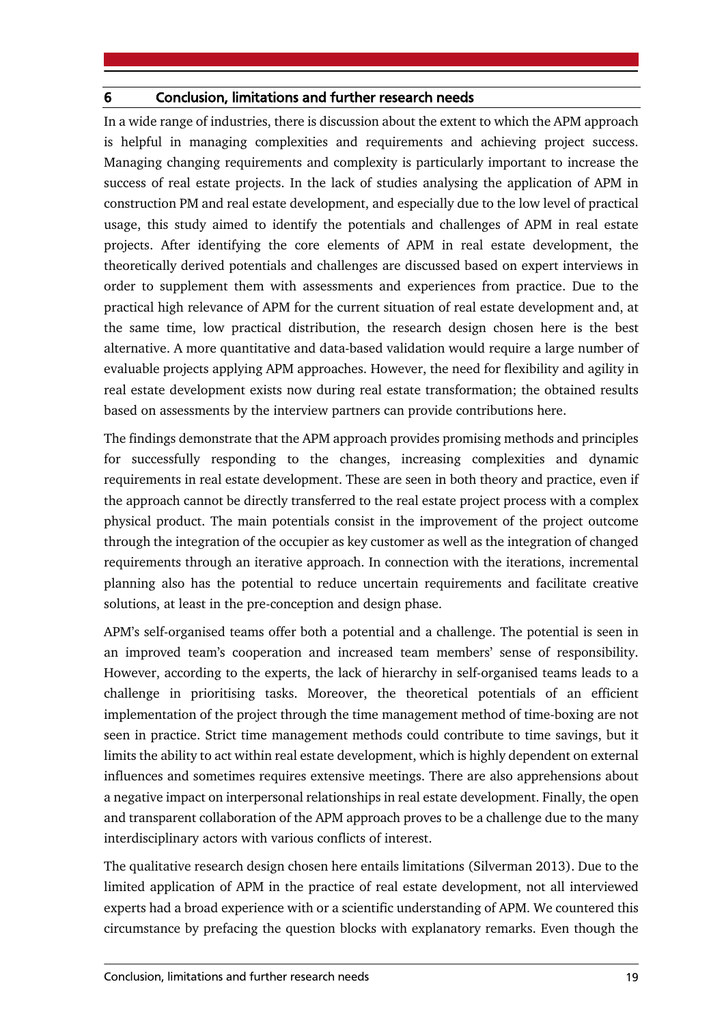## 6 Conclusion, limitations and further research needs

In a wide range of industries, there is discussion about the extent to which the APM approach is helpful in managing complexities and requirements and achieving project success. Managing changing requirements and complexity is particularly important to increase the success of real estate projects. In the lack of studies analysing the application of APM in construction PM and real estate development, and especially due to the low level of practical usage, this study aimed to identify the potentials and challenges of APM in real estate projects. After identifying the core elements of APM in real estate development, the theoretically derived potentials and challenges are discussed based on expert interviews in order to supplement them with assessments and experiences from practice. Due to the practical high relevance of APM for the current situation of real estate development and, at the same time, low practical distribution, the research design chosen here is the best alternative. A more quantitative and data-based validation would require a large number of evaluable projects applying APM approaches. However, the need for flexibility and agility in real estate development exists now during real estate transformation; the obtained results based on assessments by the interview partners can provide contributions here.

The findings demonstrate that the APM approach provides promising methods and principles for successfully responding to the changes, increasing complexities and dynamic requirements in real estate development. These are seen in both theory and practice, even if the approach cannot be directly transferred to the real estate project process with a complex physical product. The main potentials consist in the improvement of the project outcome through the integration of the occupier as key customer as well as the integration of changed requirements through an iterative approach. In connection with the iterations, incremental planning also has the potential to reduce uncertain requirements and facilitate creative solutions, at least in the pre-conception and design phase.

APM's self-organised teams offer both a potential and a challenge. The potential is seen in an improved team's cooperation and increased team members' sense of responsibility. However, according to the experts, the lack of hierarchy in self-organised teams leads to a challenge in prioritising tasks. Moreover, the theoretical potentials of an efficient implementation of the project through the time management method of time-boxing are not seen in practice. Strict time management methods could contribute to time savings, but it limits the ability to act within real estate development, which is highly dependent on external influences and sometimes requires extensive meetings. There are also apprehensions about a negative impact on interpersonal relationships in real estate development. Finally, the open and transparent collaboration of the APM approach proves to be a challenge due to the many interdisciplinary actors with various conflicts of interest.

The qualitative research design chosen here entails limitations (Silverman 2013). Due to the limited application of APM in the practice of real estate development, not all interviewed experts had a broad experience with or a scientific understanding of APM. We countered this circumstance by prefacing the question blocks with explanatory remarks. Even though the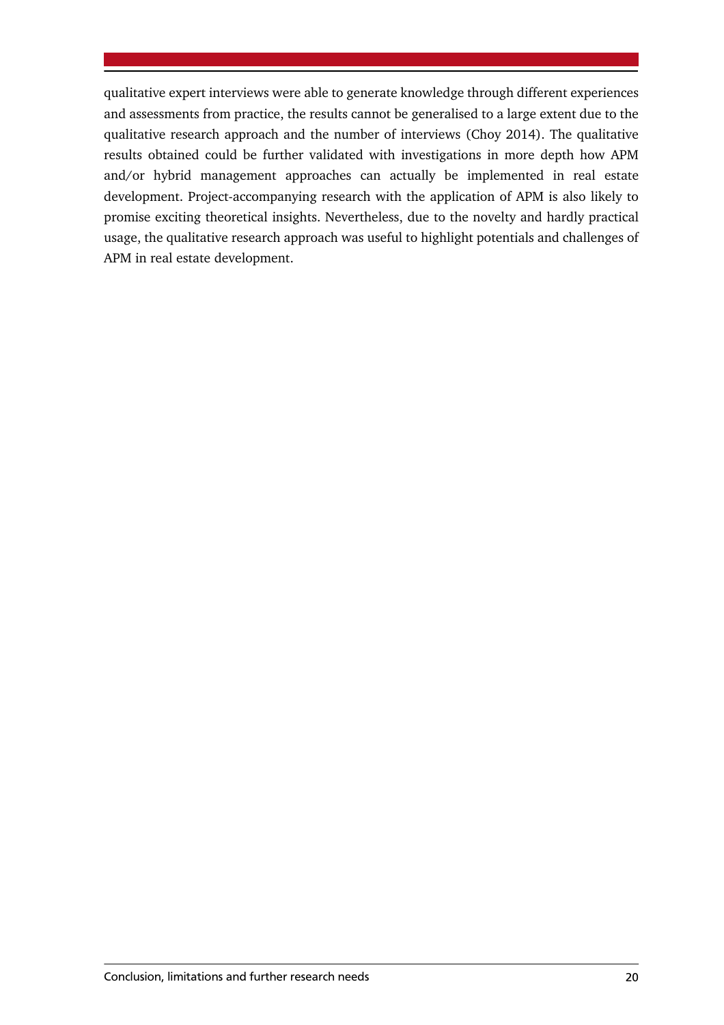qualitative expert interviews were able to generate knowledge through different experiences and assessments from practice, the results cannot be generalised to a large extent due to the qualitative research approach and the number of interviews (Choy 2014). The qualitative results obtained could be further validated with investigations in more depth how APM and/or hybrid management approaches can actually be implemented in real estate development. Project-accompanying research with the application of APM is also likely to promise exciting theoretical insights. Nevertheless, due to the novelty and hardly practical usage, the qualitative research approach was useful to highlight potentials and challenges of APM in real estate development.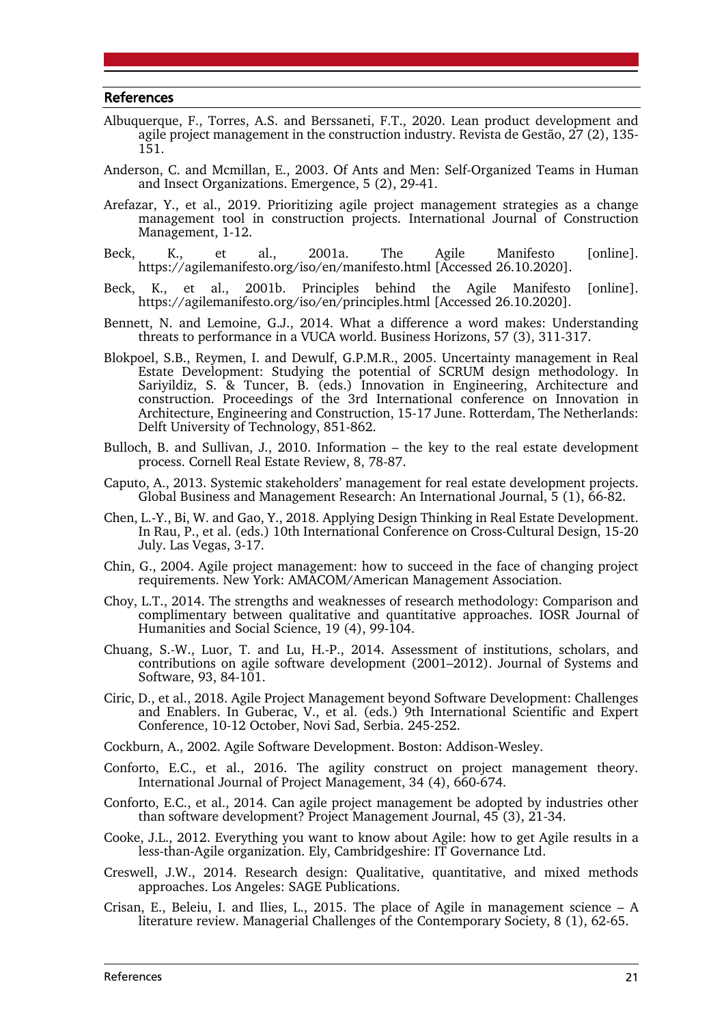#### References

- Albuquerque, F., Torres, A.S. and Berssaneti, F.T., 2020. Lean product development and agile project management in the construction industry. Revista de Gestão, 27 (2), 135- 151.
- Anderson, C. and Mcmillan, E., 2003. Of Ants and Men: Self-Organized Teams in Human and Insect Organizations. Emergence, 5 (2), 29-41.
- Arefazar, Y., et al., 2019. Prioritizing agile project management strategies as a change management tool in construction projects. International Journal of Construction Management, 1-12.
- Beck, K., et al., 2001a. The Agile Manifesto [online]. https://agilemanifesto.org/iso/en/manifesto.html [Accessed 26.10.2020].
- Beck, K., et al., 2001b. Principles behind the Agile Manifesto [online]. https://agilemanifesto.org/iso/en/principles.html [Accessed 26.10.2020].
- Bennett, N. and Lemoine, G.J., 2014. What a difference a word makes: Understanding threats to performance in a VUCA world. Business Horizons, 57 (3), 311-317.
- Blokpoel, S.B., Reymen, I. and Dewulf, G.P.M.R., 2005. Uncertainty management in Real Estate Development: Studying the potential of SCRUM design methodology. In Sarivildiz, S. & Tuncer, B. (eds.) Innovation in Engineering, Architecture and construction. Proceedings of the 3rd International conference on Innovation in Architecture, Engineering and Construction, 15-17 June. Rotterdam, The Netherlands: Delft University of Technology, 851-862.
- Bulloch, B. and Sullivan, J., 2010. Information the key to the real estate development process. Cornell Real Estate Review, 8, 78-87.
- Caputo, A., 2013. Systemic stakeholders' management for real estate development projects. Global Business and Management Research: An International Journal, 5 (1), 66-82.
- Chen, L.-Y., Bi, W. and Gao, Y., 2018. Applying Design Thinking in Real Estate Development. In Rau, P., et al. (eds.) 10th International Conference on Cross-Cultural Design, 15-20 July. Las Vegas, 3-17.
- Chin, G., 2004. Agile project management: how to succeed in the face of changing project requirements. New York: AMACOM/American Management Association.
- Choy, L.T., 2014. The strengths and weaknesses of research methodology: Comparison and complimentary between qualitative and quantitative approaches. IOSR Journal of Humanities and Social Science, 19 (4), 99-104.
- Chuang, S.-W., Luor, T. and Lu, H.-P., 2014. Assessment of institutions, scholars, and contributions on agile software development (2001–2012). Journal of Systems and Software, 93, 84-101.
- Ciric, D., et al., 2018. Agile Project Management beyond Software Development: Challenges and Enablers. In Guberac, V., et al. (eds.) 9th International Scientific and Expert Conference, 10-12 October, Novi Sad, Serbia. 245-252.
- Cockburn, A., 2002. Agile Software Development. Boston: Addison-Wesley.
- Conforto, E.C., et al., 2016. The agility construct on project management theory. International Journal of Project Management, 34 (4), 660-674.
- Conforto, E.C., et al., 2014. Can agile project management be adopted by industries other than software development? Project Management Journal, 45 (3), 21-34.
- Cooke, J.L., 2012. Everything you want to know about Agile: how to get Agile results in a less-than-Agile organization. Ely, Cambridgeshire: IT Governance Ltd.
- Creswell, J.W., 2014. Research design: Qualitative, quantitative, and mixed methods approaches. Los Angeles: SAGE Publications.
- Crisan, E., Beleiu, I. and Ilies, L., 2015. The place of Agile in management science  $A$ literature review. Managerial Challenges of the Contemporary Society, 8 (1), 62-65.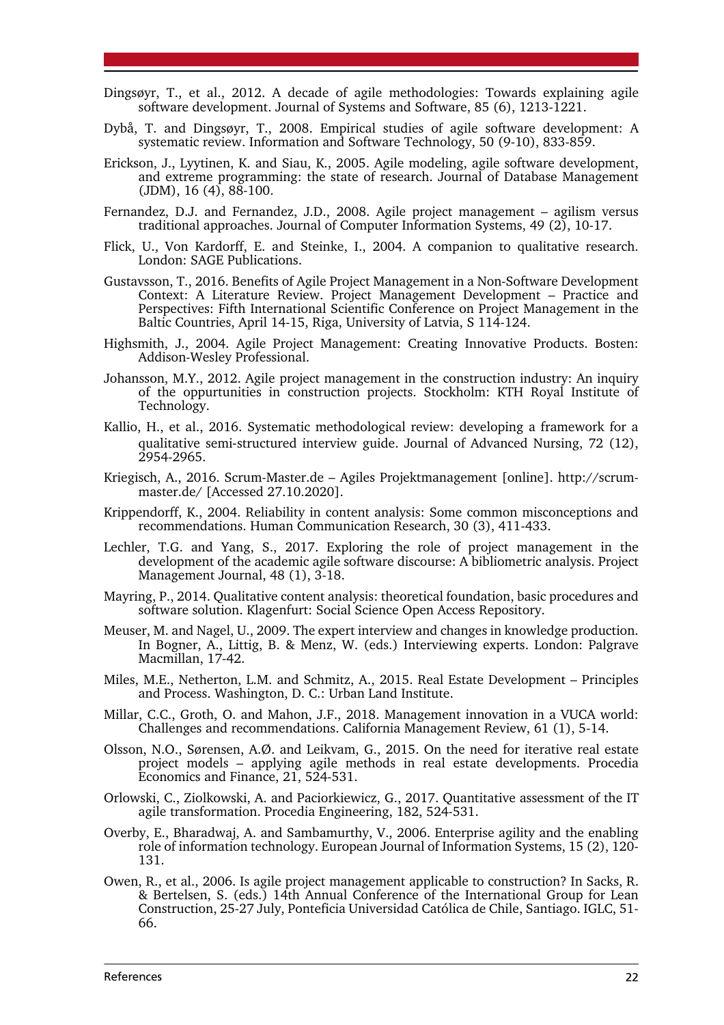- Dingsøyr, T., et al., 2012. A decade of agile methodologies: Towards explaining agile software development. Journal of Systems and Software, 85 (6), 1213-1221.
- Dybå, T. and Dingsøyr, T., 2008. Empirical studies of agile software development: A systematic review. Information and Software Technology, 50 (9-10), 833-859.
- Erickson, J., Lyytinen, K. and Siau, K., 2005. Agile modeling, agile software development, and extreme programming: the state of research. Journal of Database Management (JDM), 16 (4), 88-100.
- Fernandez, D.J. and Fernandez, J.D., 2008. Agile project management agilism versus traditional approaches. Journal of Computer Information Systems, 49 (2), 10-17.
- Flick, U., Von Kardorff, E. and Steinke, I., 2004. A companion to qualitative research. London: SAGE Publications.
- Gustavsson, T., 2016. Benefits of Agile Project Management in a Non-Software Development Context: A Literature Review. Project Management Development – Practice and Perspectives: Fifth International Scientific Conference on Project Management in the Baltic Countries, April 14-15, Riga, University of Latvia, S 114-124.
- Highsmith, J., 2004. Agile Project Management: Creating Innovative Products. Bosten: Addison-Wesley Professional.
- Johansson, M.Y., 2012. Agile project management in the construction industry: An inquiry of the oppurtunities in construction projects. Stockholm: KTH Royal Institute of Technology.
- Kallio, H., et al., 2016. Systematic methodological review: developing a framework for a qualitative semi-structured interview guide. Journal of Advanced Nursing, 72 (12), 2954-2965.
- Kriegisch, A., 2016. Scrum-Master.de Agiles Projektmanagement [online]. http://scrummaster.de/ [Accessed 27.10.2020].
- Krippendorff, K., 2004. Reliability in content analysis: Some common misconceptions and recommendations. Human Communication Research, 30 (3), 411-433.
- Lechler, T.G. and Yang, S., 2017. Exploring the role of project management in the development of the academic agile software discourse: A bibliometric analysis. Project Management Journal, 48 (1), 3-18.
- Mayring, P., 2014. Qualitative content analysis: theoretical foundation, basic procedures and software solution. Klagenfurt: Social Science Open Access Repository.
- Meuser, M. and Nagel, U., 2009. The expert interview and changes in knowledge production. In Bogner, A., Littig, B. & Menz, W. (eds.) Interviewing experts. London: Palgrave Macmillan, 17-42.
- Miles, M.E., Netherton, L.M. and Schmitz, A., 2015. Real Estate Development Principles and Process. Washington, D. C.: Urban Land Institute.
- Millar, C.C., Groth, O. and Mahon, J.F., 2018. Management innovation in a VUCA world: Challenges and recommendations. California Management Review, 61 (1), 5-14.
- Olsson, N.O., Sørensen, A.Ø. and Leikvam, G., 2015. On the need for iterative real estate project models – applying agile methods in real estate developments. Procedia Economics and Finance, 21, 524-531.
- Orlowski, C., Ziolkowski, A. and Paciorkiewicz, G., 2017. Quantitative assessment of the IT agile transformation. Procedia Engineering, 182, 524-531.
- Overby, E., Bharadwaj, A. and Sambamurthy, V., 2006. Enterprise agility and the enabling role of information technology. European Journal of Information Systems, 15 (2), 120- 131.
- Owen, R., et al., 2006. Is agile project management applicable to construction? In Sacks, R. & Bertelsen, S. (eds.) 14th Annual Conference of the International Group for Lean Construction, 25-27 July, Ponteficia Universidad Católica de Chile, Santiago. IGLC, 51- 66.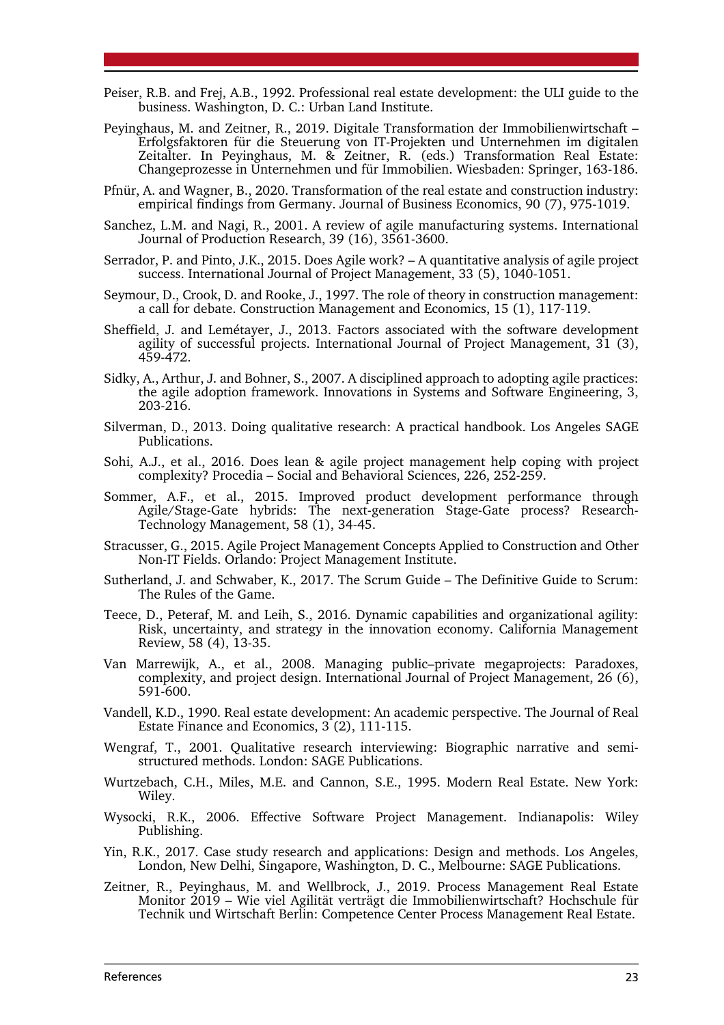- Peiser, R.B. and Frej, A.B., 1992. Professional real estate development: the ULI guide to the business. Washington, D. C.: Urban Land Institute.
- Peyinghaus, M. and Zeitner, R., 2019. Digitale Transformation der Immobilienwirtschaft Erfolgsfaktoren für die Steuerung von IT-Projekten und Unternehmen im digitalen Zeitalter. In Peyinghaus, M. & Zeitner, R. (eds.) Transformation Real Estate: Changeprozesse in Unternehmen und für Immobilien. Wiesbaden: Springer, 163-186.
- Pfnür, A. and Wagner, B., 2020. Transformation of the real estate and construction industry: empirical findings from Germany. Journal of Business Economics, 90 (7), 975-1019.
- Sanchez, L.M. and Nagi, R., 2001. A review of agile manufacturing systems. International Journal of Production Research, 39 (16), 3561-3600.
- Serrador, P. and Pinto, J.K., 2015. Does Agile work? A quantitative analysis of agile project success. International Journal of Project Management, 33 (5), 1040-1051.
- Seymour, D., Crook, D. and Rooke, J., 1997. The role of theory in construction management: a call for debate. Construction Management and Economics, 15 (1), 117-119.
- Sheffield, J. and Lemétayer, J., 2013. Factors associated with the software development agility of successful projects. International Journal of Project Management, 31 (3), 459-472.
- Sidky, A., Arthur, J. and Bohner, S., 2007. A disciplined approach to adopting agile practices: the agile adoption framework. Innovations in Systems and Software Engineering, 3, 203-216.
- Silverman, D., 2013. Doing qualitative research: A practical handbook. Los Angeles SAGE Publications.
- Sohi, A.J., et al., 2016. Does lean & agile project management help coping with project complexity? Procedia – Social and Behavioral Sciences, 226, 252-259.
- Sommer, A.F., et al., 2015. Improved product development performance through Agile/Stage-Gate hybrids: The next-generation Stage-Gate process? Research-Technology Management, 58 (1), 34-45.
- Stracusser, G., 2015. Agile Project Management Concepts Applied to Construction and Other Non-IT Fields. Orlando: Project Management Institute.
- Sutherland, J. and Schwaber, K., 2017. The Scrum Guide The Definitive Guide to Scrum: The Rules of the Game.
- Teece, D., Peteraf, M. and Leih, S., 2016. Dynamic capabilities and organizational agility: Risk, uncertainty, and strategy in the innovation economy. California Management Review, 58 (4), 13-35.
- Van Marrewijk, A., et al., 2008. Managing public–private megaprojects: Paradoxes, complexity, and project design. International Journal of Project Management, 26 (6), 591-600.
- Vandell, K.D., 1990. Real estate development: An academic perspective. The Journal of Real Estate Finance and Economics, 3 (2), 111-115.
- Wengraf, T., 2001. Qualitative research interviewing: Biographic narrative and semistructured methods. London: SAGE Publications.
- Wurtzebach, C.H., Miles, M.E. and Cannon, S.E., 1995. Modern Real Estate. New York: Wiley.
- Wysocki, R.K., 2006. Effective Software Project Management. Indianapolis: Wiley Publishing.
- Yin, R.K., 2017. Case study research and applications: Design and methods. Los Angeles, London, New Delhi, Singapore, Washington, D. C., Melbourne: SAGE Publications.
- Zeitner, R., Peyinghaus, M. and Wellbrock, J., 2019. Process Management Real Estate Monitor 2019 – Wie viel Agilität verträgt die Immobilienwirtschaft? Hochschule für Technik und Wirtschaft Berlin: Competence Center Process Management Real Estate.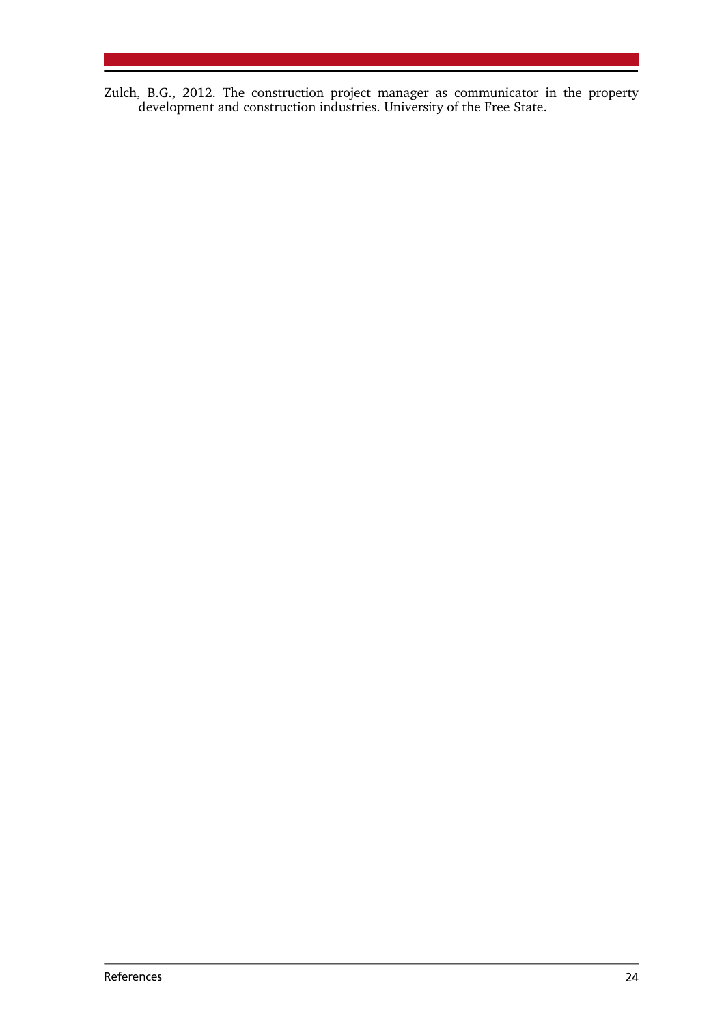Zulch, B.G., 2012. The construction project manager as communicator in the property development and construction industries. University of the Free State.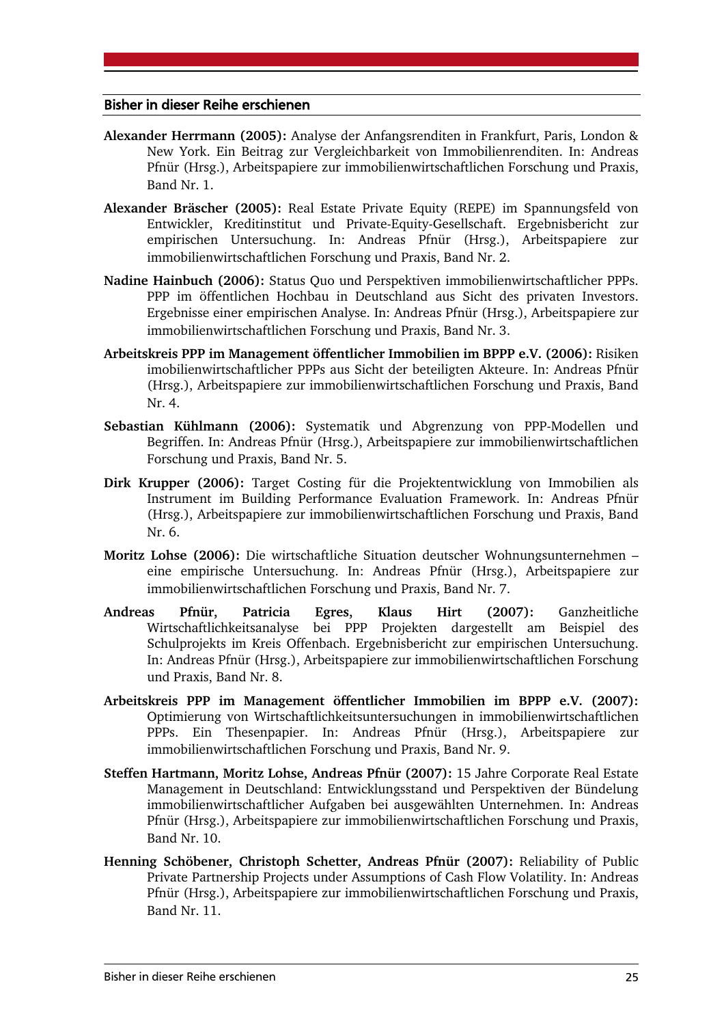#### Bisher in dieser Reihe erschienen

- **Alexander Herrmann (2005):** Analyse der Anfangsrenditen in Frankfurt, Paris, London & New York. Ein Beitrag zur Vergleichbarkeit von Immobilienrenditen. In: Andreas Pfnür (Hrsg.), Arbeitspapiere zur immobilienwirtschaftlichen Forschung und Praxis, Band Nr. 1.
- **Alexander Bräscher (2005):** Real Estate Private Equity (REPE) im Spannungsfeld von Entwickler, Kreditinstitut und Private-Equity-Gesellschaft. Ergebnisbericht zur empirischen Untersuchung. In: Andreas Pfnür (Hrsg.), Arbeitspapiere zur immobilienwirtschaftlichen Forschung und Praxis, Band Nr. 2.
- **Nadine Hainbuch (2006):** Status Quo und Perspektiven immobilienwirtschaftlicher PPPs. PPP im öffentlichen Hochbau in Deutschland aus Sicht des privaten Investors. Ergebnisse einer empirischen Analyse. In: Andreas Pfnür (Hrsg.), Arbeitspapiere zur immobilienwirtschaftlichen Forschung und Praxis, Band Nr. 3.
- **Arbeitskreis PPP im Management öffentlicher Immobilien im BPPP e.V. (2006):** Risiken imobilienwirtschaftlicher PPPs aus Sicht der beteiligten Akteure. In: Andreas Pfnür (Hrsg.), Arbeitspapiere zur immobilienwirtschaftlichen Forschung und Praxis, Band Nr. 4.
- **Sebastian Kühlmann (2006):** Systematik und Abgrenzung von PPP-Modellen und Begriffen. In: Andreas Pfnür (Hrsg.), Arbeitspapiere zur immobilienwirtschaftlichen Forschung und Praxis, Band Nr. 5.
- **Dirk Krupper (2006):** Target Costing für die Projektentwicklung von Immobilien als Instrument im Building Performance Evaluation Framework. In: Andreas Pfnür (Hrsg.), Arbeitspapiere zur immobilienwirtschaftlichen Forschung und Praxis, Band Nr. 6.
- **Moritz Lohse (2006):** Die wirtschaftliche Situation deutscher Wohnungsunternehmen eine empirische Untersuchung. In: Andreas Pfnür (Hrsg.), Arbeitspapiere zur immobilienwirtschaftlichen Forschung und Praxis, Band Nr. 7.
- **Andreas Pfnür, Patricia Egres, Klaus Hirt (2007):** Ganzheitliche Wirtschaftlichkeitsanalyse bei PPP Projekten dargestellt am Beispiel des Schulprojekts im Kreis Offenbach. Ergebnisbericht zur empirischen Untersuchung. In: Andreas Pfnür (Hrsg.), Arbeitspapiere zur immobilienwirtschaftlichen Forschung und Praxis, Band Nr. 8.
- **Arbeitskreis PPP im Management öffentlicher Immobilien im BPPP e.V. (2007):**  Optimierung von Wirtschaftlichkeitsuntersuchungen in immobilienwirtschaftlichen PPPs. Ein Thesenpapier. In: Andreas Pfnür (Hrsg.), Arbeitspapiere zur immobilienwirtschaftlichen Forschung und Praxis, Band Nr. 9.
- **Steffen Hartmann, Moritz Lohse, Andreas Pfnür (2007):** 15 Jahre Corporate Real Estate Management in Deutschland: Entwicklungsstand und Perspektiven der Bündelung immobilienwirtschaftlicher Aufgaben bei ausgewählten Unternehmen. In: Andreas Pfnür (Hrsg.), Arbeitspapiere zur immobilienwirtschaftlichen Forschung und Praxis, Band Nr. 10.
- **Henning Schöbener, Christoph Schetter, Andreas Pfnür (2007):** Reliability of Public Private Partnership Projects under Assumptions of Cash Flow Volatility. In: Andreas Pfnür (Hrsg.), Arbeitspapiere zur immobilienwirtschaftlichen Forschung und Praxis, Band Nr. 11.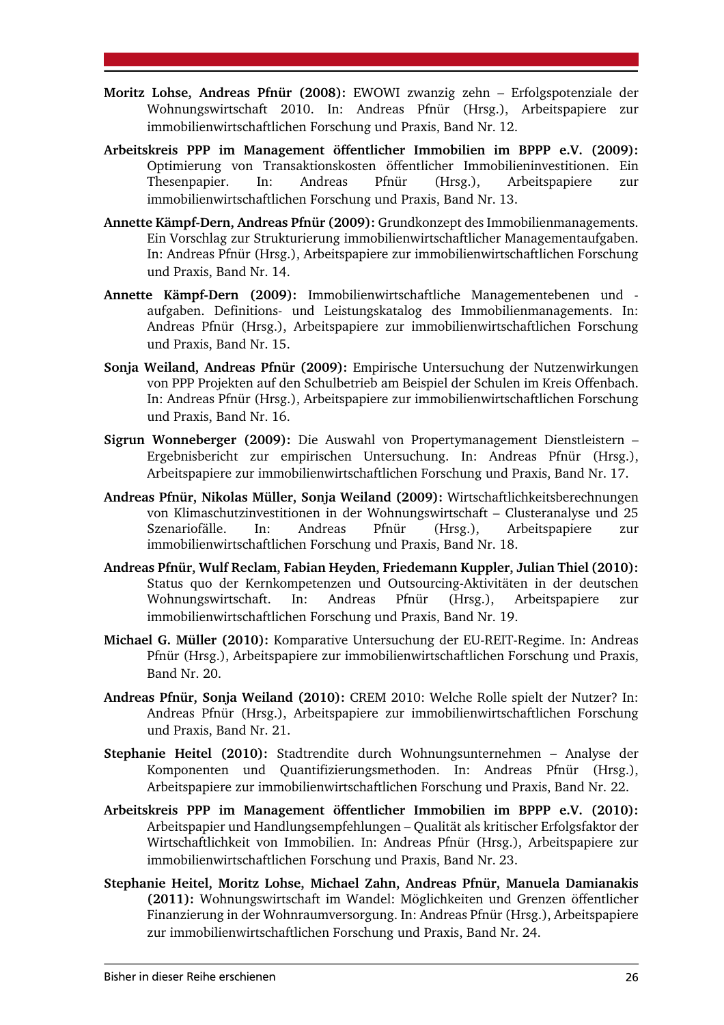- **Moritz Lohse, Andreas Pfnür (2008):** EWOWI zwanzig zehn Erfolgspotenziale der Wohnungswirtschaft 2010. In: Andreas Pfnür (Hrsg.), Arbeitspapiere zur immobilienwirtschaftlichen Forschung und Praxis, Band Nr. 12.
- **Arbeitskreis PPP im Management öffentlicher Immobilien im BPPP e.V. (2009):** Optimierung von Transaktionskosten öffentlicher Immobilieninvestitionen. Ein Thesenpapier. In: Andreas Pfnür (Hrsg.), Arbeitspapiere zur immobilienwirtschaftlichen Forschung und Praxis, Band Nr. 13.
- **Annette Kämpf-Dern, Andreas Pfnür (2009):** Grundkonzept des Immobilienmanagements. Ein Vorschlag zur Strukturierung immobilienwirtschaftlicher Managementaufgaben. In: Andreas Pfnür (Hrsg.), Arbeitspapiere zur immobilienwirtschaftlichen Forschung und Praxis, Band Nr. 14.
- **Annette Kämpf-Dern (2009):** Immobilienwirtschaftliche Managementebenen und aufgaben. Definitions- und Leistungskatalog des Immobilienmanagements. In: Andreas Pfnür (Hrsg.), Arbeitspapiere zur immobilienwirtschaftlichen Forschung und Praxis, Band Nr. 15.
- **Sonja Weiland, Andreas Pfnür (2009):** Empirische Untersuchung der Nutzenwirkungen von PPP Projekten auf den Schulbetrieb am Beispiel der Schulen im Kreis Offenbach. In: Andreas Pfnür (Hrsg.), Arbeitspapiere zur immobilienwirtschaftlichen Forschung und Praxis, Band Nr. 16.
- **Sigrun Wonneberger (2009):** Die Auswahl von Propertymanagement Dienstleistern Ergebnisbericht zur empirischen Untersuchung. In: Andreas Pfnür (Hrsg.), Arbeitspapiere zur immobilienwirtschaftlichen Forschung und Praxis, Band Nr. 17.
- **Andreas Pfnür, Nikolas Müller, Sonja Weiland (2009):** Wirtschaftlichkeitsberechnungen von Klimaschutzinvestitionen in der Wohnungswirtschaft – Clusteranalyse und 25<br>Szenariofälle. In: Andreas Pfnür (Hrsg.). Arbeitspapiere zur Szenariofälle. In: Andreas Pfnür (Hrsg.), Arbeitspapiere zur immobilienwirtschaftlichen Forschung und Praxis, Band Nr. 18.
- **Andreas Pfnür, Wulf Reclam, Fabian Heyden, Friedemann Kuppler, Julian Thiel (2010):** Status quo der Kernkompetenzen und Outsourcing-Aktivitäten in der deutschen Wohnungswirtschaft. In: Andreas Pfnür (Hrsg.), Arbeitspapiere zur immobilienwirtschaftlichen Forschung und Praxis, Band Nr. 19.
- **Michael G. Müller (2010):** Komparative Untersuchung der EU-REIT-Regime. In: Andreas Pfnür (Hrsg.), Arbeitspapiere zur immobilienwirtschaftlichen Forschung und Praxis, Band Nr. 20.
- **Andreas Pfnür, Sonja Weiland (2010):** CREM 2010: Welche Rolle spielt der Nutzer? In: Andreas Pfnür (Hrsg.), Arbeitspapiere zur immobilienwirtschaftlichen Forschung und Praxis, Band Nr. 21.
- **Stephanie Heitel (2010):** Stadtrendite durch Wohnungsunternehmen Analyse der Komponenten und Quantifizierungsmethoden. In: Andreas Pfnür (Hrsg.), Arbeitspapiere zur immobilienwirtschaftlichen Forschung und Praxis, Band Nr. 22.
- **Arbeitskreis PPP im Management öffentlicher Immobilien im BPPP e.V. (2010):**  Arbeitspapier und Handlungsempfehlungen – Qualität als kritischer Erfolgsfaktor der Wirtschaftlichkeit von Immobilien. In: Andreas Pfnür (Hrsg.), Arbeitspapiere zur immobilienwirtschaftlichen Forschung und Praxis, Band Nr. 23.
- **Stephanie Heitel, Moritz Lohse, Michael Zahn, Andreas Pfnür, Manuela Damianakis (2011):** Wohnungswirtschaft im Wandel: Möglichkeiten und Grenzen öffentlicher Finanzierung in der Wohnraumversorgung. In: Andreas Pfnür (Hrsg.), Arbeitspapiere zur immobilienwirtschaftlichen Forschung und Praxis, Band Nr. 24.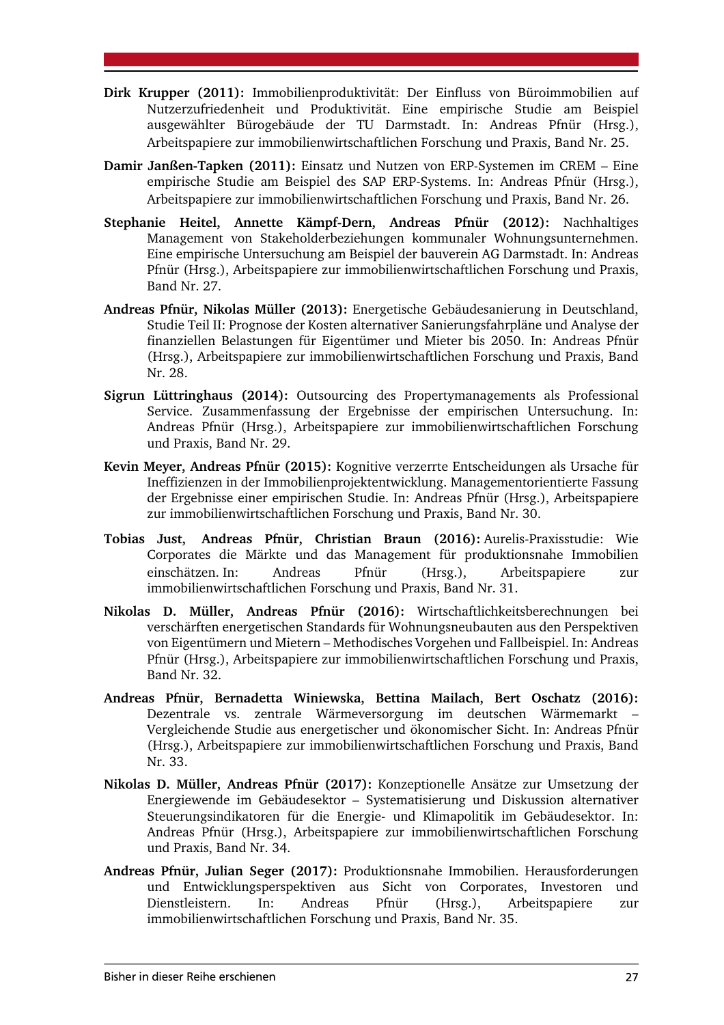- **Dirk Krupper (2011):** Immobilienproduktivität: Der Einfluss von Büroimmobilien auf Nutzerzufriedenheit und Produktivität. Eine empirische Studie am Beispiel ausgewählter Bürogebäude der TU Darmstadt. In: Andreas Pfnür (Hrsg.), Arbeitspapiere zur immobilienwirtschaftlichen Forschung und Praxis, Band Nr. 25.
- **Damir Janßen-Tapken (2011):** Einsatz und Nutzen von ERP-Systemen im CREM Eine empirische Studie am Beispiel des SAP ERP-Systems. In: Andreas Pfnür (Hrsg.), Arbeitspapiere zur immobilienwirtschaftlichen Forschung und Praxis, Band Nr. 26.
- **Stephanie Heitel, Annette Kämpf-Dern, Andreas Pfnür (2012):** Nachhaltiges Management von Stakeholderbeziehungen kommunaler Wohnungsunternehmen. Eine empirische Untersuchung am Beispiel der bauverein AG Darmstadt. In: Andreas Pfnür (Hrsg.), Arbeitspapiere zur immobilienwirtschaftlichen Forschung und Praxis, Band Nr. 27.
- **Andreas Pfnür, Nikolas Müller (2013):** Energetische Gebäudesanierung in Deutschland, Studie Teil II: Prognose der Kosten alternativer Sanierungsfahrpläne und Analyse der finanziellen Belastungen für Eigentümer und Mieter bis 2050. In: Andreas Pfnür (Hrsg.), Arbeitspapiere zur immobilienwirtschaftlichen Forschung und Praxis, Band Nr. 28.
- **Sigrun Lüttringhaus (2014):** Outsourcing des Propertymanagements als Professional Service. Zusammenfassung der Ergebnisse der empirischen Untersuchung. In: Andreas Pfnür (Hrsg.), Arbeitspapiere zur immobilienwirtschaftlichen Forschung und Praxis, Band Nr. 29.
- **Kevin Meyer, Andreas Pfnür (2015):** Kognitive verzerrte Entscheidungen als Ursache für Ineffizienzen in der Immobilienprojektentwicklung. Managementorientierte Fassung der Ergebnisse einer empirischen Studie. In: Andreas Pfnür (Hrsg.), Arbeitspapiere zur immobilienwirtschaftlichen Forschung und Praxis, Band Nr. 30.
- **Tobias Just, Andreas Pfnür, Christian Braun (2016):** Aurelis-Praxisstudie: Wie Corporates die Märkte und das Management für produktionsnahe Immobilien einschätzen. In: Andreas Pfnür (Hrsg.), Arbeitspapiere zur immobilienwirtschaftlichen Forschung und Praxis, Band Nr. 31.
- **Nikolas D. Müller, Andreas Pfnür (2016):** Wirtschaftlichkeitsberechnungen bei verschärften energetischen Standards für Wohnungsneubauten aus den Perspektiven von Eigentümern und Mietern – Methodisches Vorgehen und Fallbeispiel. In: Andreas Pfnür (Hrsg.), Arbeitspapiere zur immobilienwirtschaftlichen Forschung und Praxis, Band Nr. 32.
- **Andreas Pfnür, Bernadetta Winiewska, Bettina Mailach, Bert Oschatz (2016):** Dezentrale vs. zentrale Wärmeversorgung im deutschen Wärmemarkt – Vergleichende Studie aus energetischer und ökonomischer Sicht. In: Andreas Pfnür (Hrsg.), Arbeitspapiere zur immobilienwirtschaftlichen Forschung und Praxis, Band Nr. 33.
- **Nikolas D. Müller, Andreas Pfnür (2017):** Konzeptionelle Ansätze zur Umsetzung der Energiewende im Gebäudesektor – Systematisierung und Diskussion alternativer Steuerungsindikatoren für die Energie- und Klimapolitik im Gebäudesektor. In: Andreas Pfnür (Hrsg.), Arbeitspapiere zur immobilienwirtschaftlichen Forschung und Praxis, Band Nr. 34.
- **Andreas Pfnür, Julian Seger (2017):** Produktionsnahe Immobilien. Herausforderungen und Entwicklungsperspektiven aus Sicht von Corporates, Investoren und Dienstleistern. In: Andreas Pfnür (Hrsg.), Arbeitspapiere zur immobilienwirtschaftlichen Forschung und Praxis, Band Nr. 35.